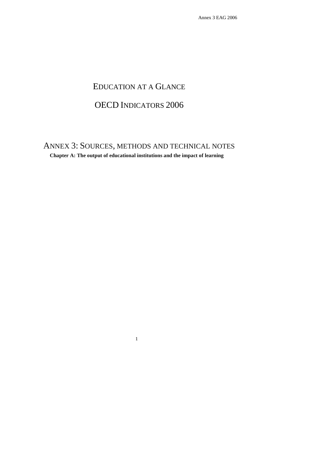# EDUCATION AT A GLANCE

# OECD INDICATORS 2006

ANNEX 3: SOURCES, METHODS AND TECHNICAL NOTES

**Chapter A: The output of educational institutions and the impact of learning**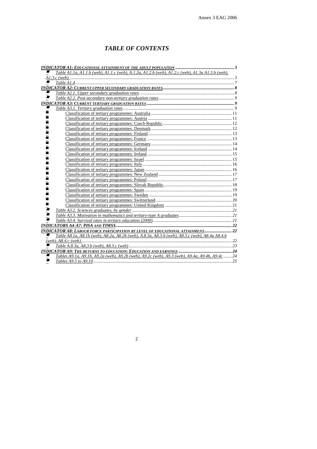# *TABLE OF CONTENTS*

| $\blacksquare$<br>Table A1.1a, A1.1.b (web), A1.1.c (web), A.1.2a, A1.2.b (web), $\overline{A1.2.c}$ (web), A1.3a A1.3.b (web), |  |
|---------------------------------------------------------------------------------------------------------------------------------|--|
|                                                                                                                                 |  |
| ■                                                                                                                               |  |
|                                                                                                                                 |  |
| ■                                                                                                                               |  |
| ■                                                                                                                               |  |
|                                                                                                                                 |  |
|                                                                                                                                 |  |
|                                                                                                                                 |  |
|                                                                                                                                 |  |
|                                                                                                                                 |  |
|                                                                                                                                 |  |
|                                                                                                                                 |  |
|                                                                                                                                 |  |
|                                                                                                                                 |  |
|                                                                                                                                 |  |
|                                                                                                                                 |  |
|                                                                                                                                 |  |
|                                                                                                                                 |  |
|                                                                                                                                 |  |
|                                                                                                                                 |  |
|                                                                                                                                 |  |
|                                                                                                                                 |  |
|                                                                                                                                 |  |
|                                                                                                                                 |  |
|                                                                                                                                 |  |
|                                                                                                                                 |  |
|                                                                                                                                 |  |
|                                                                                                                                 |  |
| Ø                                                                                                                               |  |
|                                                                                                                                 |  |
| INDICATOR A8: LABOUR FORCE PARTICIPATION BY LEVEL OF EDUCATIONAL ATTAINMENT 22                                                  |  |
| Table A8.1a, A8.1b (web), A8.2a, A8.2b (web), A.8.3a, A8.3.b (web), A8.3.c (web), A8.4a A8.4.b<br>■                             |  |
|                                                                                                                                 |  |
|                                                                                                                                 |  |
|                                                                                                                                 |  |
| Tables A9.1a, A9.1b, A9.2a (web), A9.2b (web), A9.2c (web), A9.3 (web), A9.4a, A9.4b, A9.4c 24<br>,,,                           |  |
| ■                                                                                                                               |  |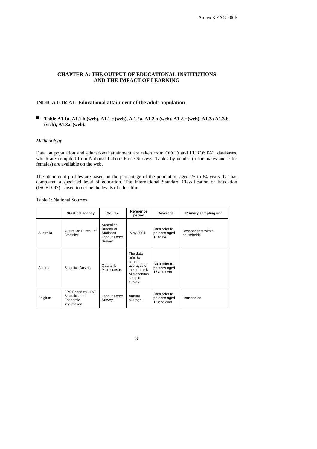### **CHAPTER A: THE OUTPUT OF EDUCATIONAL INSTITUTIONS AND THE IMPACT OF LEARNING**

### **INDICATOR A1: Educational attainment of the adult population**

■ **Table A1.1a, A1.1.b (web), A1.1.c (web), A.1.2a, A1.2.b (web), A1.2.c (web), A1.3a A1.3.b (web), A1.3.c (web).** 

### *Methodology*

Data on population and educational attainment are taken from OECD and EUROSTAT databases, which are compiled from National Labour Force Surveys. Tables by gender (b for males and c for females) are available on the web.

The attainment profiles are based on the percentage of the population aged 25 to 64 years that has completed a specified level of education. The International Standard Classification of Education (ISCED-97) is used to define the levels of education.

Table 1: National Sources

|           | <b>Stastical agency</b>                                       | Source                                                                 | Reference<br>period                                                                               | Coverage                                     | Primary sampling unit            |
|-----------|---------------------------------------------------------------|------------------------------------------------------------------------|---------------------------------------------------------------------------------------------------|----------------------------------------------|----------------------------------|
| Australia | Australian Bureau of<br><b>Statistics</b>                     | Australian<br>Bureau of<br><b>Statistics</b><br>Labour Force<br>Survey | May 2004                                                                                          | Data refer to<br>persons aged<br>15 to 64    | Respondents within<br>households |
| Austria   | Statistics Austria                                            | Quarterly<br>Microcensus                                               | The data<br>refer to<br>annual<br>averages of<br>the quarterly<br>Microcensus<br>sample<br>survey | Data refer to<br>persons aged<br>15 and over |                                  |
| Belgium   | FPS Economy - DG<br>Statistics and<br>Economic<br>Information | Labour Force<br>Survey                                                 | Annual<br>average                                                                                 | Data refer to<br>persons aged<br>15 and over | Households                       |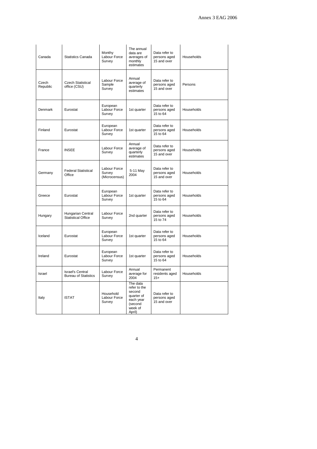| Canada            | <b>Statistics Canada</b>                               | Monthy<br>Labour Force<br>Survey        | The annual<br>data are<br>averages of<br>monthly<br>estimates                                 | Data refer to<br>persons aged<br>15 and over | Households |
|-------------------|--------------------------------------------------------|-----------------------------------------|-----------------------------------------------------------------------------------------------|----------------------------------------------|------------|
| Czech<br>Republic | <b>Czech Statistical</b><br>office (CSU)               | Labour Force<br>Sample<br>Survey        | Annual<br>average of<br>quarterly<br>estimates                                                | Data refer to<br>persons aged<br>15 and over | Persons    |
| Denmark           | Eurostat                                               | European<br>Labour Force<br>Survey      | 1st quarter                                                                                   | Data refer to<br>persons aged<br>15 to 64    | Households |
| Finland           | Eurostat                                               | European<br>Labour Force<br>Survey      | 1st quarter                                                                                   | Data refer to<br>persons aged<br>15 to 64    | Households |
| France            | <b>INSEE</b>                                           | Labour Force<br>Survey                  | Annual<br>average of<br>quarterly<br>estimates                                                | Data refer to<br>persons aged<br>15 and over | Households |
| Germany           | <b>Federal Statistical</b><br>Office                   | Labour Force<br>Survey<br>(Microcensus) | 5-11 May<br>2004                                                                              | Data refer to<br>persons aged<br>15 and over | Households |
| Greece            | Eurostat                                               | European<br>Labour Force<br>Survey      | 1st quarter                                                                                   | Data refer to<br>persons aged<br>15 to 64    | Households |
| Hungary           | Hungarian Central<br><b>Statistical Office</b>         | Labour Force<br>Survey                  | 2nd quarter                                                                                   | Data refer to<br>persons aged<br>15 to 74    | Households |
| Iceland           | Eurostat                                               | European<br>Labour Force<br>Survey      | 1st quarter                                                                                   | Data refer to<br>persons aged<br>15 to 64    | Households |
| Ireland           | Eurostat                                               | European<br>Labour Force<br>Survey      | 1st quarter                                                                                   | Data refer to<br>persons aged<br>15 to 64    | Households |
| Israel            | <b>Israel's Central</b><br><b>Bureau of Statistics</b> | Labour Force<br>Survey                  | Annual<br>average for<br>2004                                                                 | Permanent<br>residents aged<br>$15+$         | Households |
| Italy             | <b>ISTAT</b>                                           | Household<br>Labour Force<br>Survey     | The data<br>refer to the<br>second<br>quarter of<br>each year<br>(second<br>week of<br>April) | Data refer to<br>persons aged<br>15 and over |            |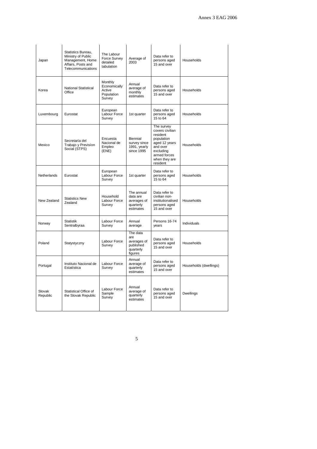| Japan              | Statistics Bureau.<br>Ministry of Public<br>Management, Home<br>Affairs, Posts and<br>Telecommunications | The Labour<br>Force Survey<br>detailed<br>tabulation      | Average of<br>2003                                                  | Data refer to<br>persons aged<br>15 and over                                                                                                   | Households             |
|--------------------|----------------------------------------------------------------------------------------------------------|-----------------------------------------------------------|---------------------------------------------------------------------|------------------------------------------------------------------------------------------------------------------------------------------------|------------------------|
| Korea              | <b>National Statistical</b><br>Office                                                                    | Monthly<br>Economically<br>Active<br>Population<br>Survey | Annual<br>average of<br>monthly<br>estimates                        | Data refer to<br>persons aged<br>15 and over                                                                                                   | Households             |
| Luxembourg         | Eurostat                                                                                                 | European<br>Labour Force<br>Survey                        | 1st quarter                                                         | Data refer to<br>persons aged<br>15 to 64                                                                                                      | Households             |
| Mexico             | Secretaría del<br>Trabajo y Previsíon<br>Social (STPS)                                                   | Encuesta<br>Nacional de<br>Empleo<br>(ENE)                | Biennial<br>survey since<br>1991, yearly<br>since 1995              | The survey<br>covers civilian<br>resident<br>population<br>aged 12 years<br>and over<br>excluding<br>armed forces<br>when they are<br>resident | Households             |
| <b>Netherlands</b> | Eurostat                                                                                                 | European<br>Labour Force<br>Survey                        | 1st quarter                                                         | Data refer to<br>persons aged<br>15 to 64                                                                                                      | Households             |
| New Zealand        | <b>Statistics New</b><br>Zealand                                                                         | Household<br>Labour Force<br>Survey                       | The annual<br>data are<br>averages of<br>quarterly<br>estimates     | Data refer to<br>civilian non-<br>institutionalised<br>persons aged<br>15 and over                                                             | Households             |
| Norway             | <b>Statistik</b><br>Sentralbyraa                                                                         | Labour Force<br>Survey                                    | Annual<br>average                                                   | Persons 16-74<br>years                                                                                                                         | Individuals            |
| Poland             | Statystyczny                                                                                             | Labour Force<br>Survey                                    | The data<br>are<br>averages of<br>published<br>quarterly<br>figures | Data refer to<br>persons aged<br>15 and over                                                                                                   | Households             |
| Portugal           | Instituto Nacional de<br>Estatística                                                                     | Labour Force<br>Survey                                    | Annual<br>average of<br>quarterly<br>estimates                      | Data refer to<br>persons aged<br>15 and over                                                                                                   | Households (dwellings) |
| Slovak<br>Republic | <b>Statistical Office of</b><br>the Slovak Republic                                                      | Labour Force<br>Sample<br>Survey                          | Annual<br>average of<br>quarterly<br>estimates                      | Data refer to<br>persons aged<br>15 and over                                                                                                   | <b>Dwellings</b>       |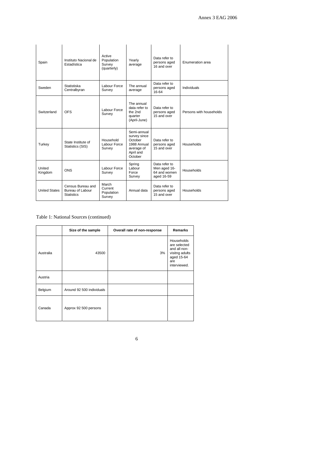| Spain                | Instituto Nacional de<br>Estadística                       | Active<br>Population<br>Survey<br>(quarterly) | Yearly<br>average                                                                           | Data refer to<br>persons aged<br>16 and over                | Enumeration area        |
|----------------------|------------------------------------------------------------|-----------------------------------------------|---------------------------------------------------------------------------------------------|-------------------------------------------------------------|-------------------------|
| Sweden               | Statistiska<br>Centralbyran                                | Labour Force<br>Survey                        | The annual<br>average                                                                       | Data refer to<br>persons aged<br>16-64                      | Individuals             |
| Switzerland          | <b>OFS</b>                                                 | Labour Force<br>Survey                        | The annual<br>data refer to<br>the 2nd<br>quarter<br>(April-June)                           | Data refer to<br>persons aged<br>15 and over                | Persons with households |
| Turkey               | State Institute of<br>Statistics (SIS)                     | Household<br>Labour Force<br>Survey           | Semi-annual<br>survey since<br>October<br>1988 Annual<br>average of<br>April and<br>October | Data refer to<br>persons aged<br>15 and over                | Households              |
| United<br>Kingdom    | <b>ONS</b>                                                 | Labour Force<br>Survey                        | Spring<br>Labour<br>Force<br>Survey                                                         | Data refer to<br>Men aged 16-<br>64 and women<br>aged 16-59 | Households              |
| <b>United States</b> | Census Bureau and<br>Bureau of Labour<br><b>Statistics</b> | March<br>Current<br>Population<br>Survey      | Annual data                                                                                 | Data refer to<br>persons aged<br>15 and over                | Households              |

### Table 1: National Sources (continued)

|           | Size of the sample        | Overall rate of non-response | <b>Remarks</b>                                                                                    |
|-----------|---------------------------|------------------------------|---------------------------------------------------------------------------------------------------|
| Australia | 43500                     | 3%                           | Households<br>are selected<br>and all non-<br>visitng adults<br>aged 15-64<br>are<br>interviewed. |
| Austria   |                           |                              |                                                                                                   |
| Belgium   | Around 92 500 individuals |                              |                                                                                                   |
| Canada    | Approx 92 500 persons     |                              |                                                                                                   |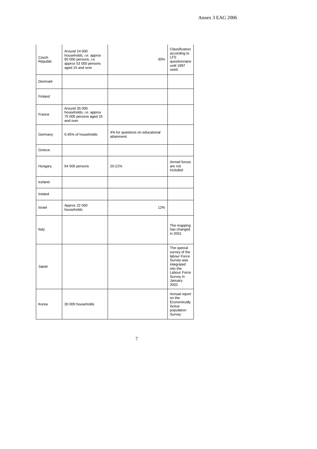| Czech<br>Republic | Around 24 000<br>households, i.e. approx<br>60 000 persons, i.e.<br>approx 53 000 persons<br>aged 15 and over | 30%                                            | Classification<br>according to<br><b>LFS</b><br>questionnaire<br>until 1997<br>used.                                                 |
|-------------------|---------------------------------------------------------------------------------------------------------------|------------------------------------------------|--------------------------------------------------------------------------------------------------------------------------------------|
| Denmark           |                                                                                                               |                                                |                                                                                                                                      |
| Finland           |                                                                                                               |                                                |                                                                                                                                      |
| France            | Around 35 000<br>households, i.e. approx<br>75 000 persons aged 15<br>and over                                |                                                |                                                                                                                                      |
| Germany           | 0.45% of households                                                                                           | 4% for questions on educational<br>attainment. |                                                                                                                                      |
| Greece            |                                                                                                               |                                                |                                                                                                                                      |
| Hungary           | 64 000 persons                                                                                                | 20-21%                                         | Armed forces<br>are not<br>included                                                                                                  |
| Iceland           |                                                                                                               |                                                |                                                                                                                                      |
| Ireland           |                                                                                                               |                                                |                                                                                                                                      |
| Israel            | Approx 22 500<br>households                                                                                   | 12%                                            |                                                                                                                                      |
| Italy             |                                                                                                               |                                                | The mapping<br>has changed<br>in 2001                                                                                                |
| Japan             |                                                                                                               |                                                | The special<br>survey of the<br>labour Force<br>Survey was<br>integrated<br>into the<br>Labour Force<br>Survey in<br>January<br>2002 |
| Korea             | 30 000 households                                                                                             |                                                | Annual report<br>on the<br>Economically<br>Active<br>population<br>Survey                                                            |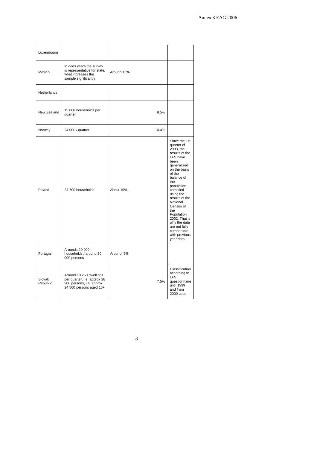| Luxembourg         |                                                                                                               |            |                                                                                                                                                                                                                                                                                                                                                   |
|--------------------|---------------------------------------------------------------------------------------------------------------|------------|---------------------------------------------------------------------------------------------------------------------------------------------------------------------------------------------------------------------------------------------------------------------------------------------------------------------------------------------------|
| Mexico             | In odds years the survey<br>is representative for state,<br>what increases the<br>sample significantly        | Around 15% |                                                                                                                                                                                                                                                                                                                                                   |
| Netherlands        |                                                                                                               |            |                                                                                                                                                                                                                                                                                                                                                   |
| New Zealand        | 15 000 households per<br>quarter                                                                              | 8.5%       |                                                                                                                                                                                                                                                                                                                                                   |
| Norway             | 24 000 / quarter                                                                                              | 10.4%      |                                                                                                                                                                                                                                                                                                                                                   |
| Poland             | 24 700 households                                                                                             | About 19%  | Since the 1st<br>quarter of<br>2003. the<br>results of the<br>LFS have<br>been<br>generalized<br>on the basis<br>of the<br>balance of<br>the<br>population<br>compiled<br>using the<br>results of the<br>National<br>Census of<br>the<br>Population<br>2002. That is<br>why the data<br>are not fully<br>comparable<br>with previous<br>year data |
| Portugal           | Arounds 20 000<br>households / around 50<br>000 persons                                                       | Around 9%  |                                                                                                                                                                                                                                                                                                                                                   |
| Slovak<br>Republic | Around 10 250 dwellings<br>per quarter, i.e. approx 28<br>900 persons, i.e. approx<br>24 500 persons aged 15+ | 7.5%       | Classification<br>according to<br><b>LFS</b><br>questionnaire<br>until 1999<br>and from<br>2000 used                                                                                                                                                                                                                                              |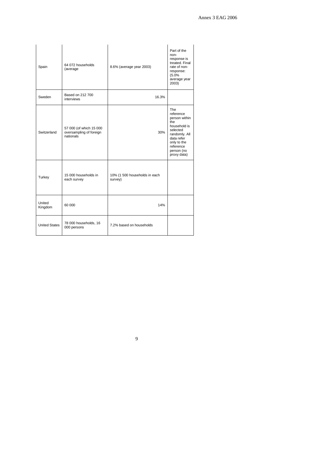| Spain                | 64 072 households<br>(average)                                  | 8.6% (average year 2003)                 | Part of the<br>non-<br>response is<br>treated. Final<br>rate of non-<br>response:<br>(5.0%<br>average year<br>2003)                                                 |
|----------------------|-----------------------------------------------------------------|------------------------------------------|---------------------------------------------------------------------------------------------------------------------------------------------------------------------|
| Sweden               | Based on 212 700<br>interviews                                  | 16.3%                                    |                                                                                                                                                                     |
| Switzerland          | 57 000 (of which 15 000<br>oversampling of foreign<br>nationals | 30%                                      | <b>The</b><br>reference<br>person within<br>the<br>household is<br>selected<br>randomly. All<br>data refer<br>only to the<br>reference<br>person (no<br>proxy data) |
| Turkey               | 15 000 households in<br>each survey                             | 10% (1 500 households in each<br>survey) |                                                                                                                                                                     |
| United<br>Kingdom    | 60 000                                                          | 14%                                      |                                                                                                                                                                     |
| <b>United States</b> | 78 000 households, 16<br>000 persons                            | 7.2% based on households                 |                                                                                                                                                                     |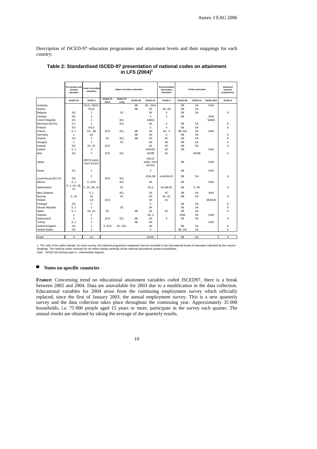Description of ISCED-97 education programmes and attainment levels and their mappings for each country:

|                       | Pre-primary and<br>primary<br>education | Lower secondary<br>education |                          | <b>Upper secondary education</b> |          |                                | Post-secondary<br>non-tertiary<br>education |                 | <b>Tertiary education</b> |                   | Advanced<br>research<br>programmes |
|-----------------------|-----------------------------------------|------------------------------|--------------------------|----------------------------------|----------|--------------------------------|---------------------------------------------|-----------------|---------------------------|-------------------|------------------------------------|
|                       | ISCED 0/1                               | <b>ISCED 2</b>               | <b>ISCED 3C</b><br>Short | <b>ISCED 3C</b><br>Long          | ISCED 3B | <b>ISCED 3A</b>                | <b>ISCED 4</b>                              | <b>ISCED 5B</b> | <b>ISCED 5A</b>           | <b>ISCED 5A/6</b> | <b>ISCED 6</b>                     |
| Australia             |                                         | 0/1/2.2B/2C                  |                          |                                  | 3B       | 3A.3A/4                        |                                             | 5B              | <b>5A</b>                 | 5A/6              |                                    |
| Austria               |                                         | 0/1/2                        |                          |                                  | 3B       | 3A                             | 4A. 4B                                      | 5B              | <b>5A</b>                 |                   |                                    |
| Belgium               | 0/1                                     | $\overline{2}$               |                          | 3C                               |          | 3A                             | 4                                           | 5B              | <b>5A</b>                 |                   | 6                                  |
| Canada                | 0/1                                     | $\overline{\mathbf{c}}$      |                          |                                  |          | 3                              | 4                                           | 5B              |                           | 5A/6              |                                    |
| Czech Republic        | 0/1                                     | $\overline{2}$               |                          | 3CL                              |          | 3AB/4                          |                                             |                 |                           | 5AB/6             |                                    |
| Denmark (ELFS)        | 0,1                                     | $\overline{c}$               |                          | 3CL                              |          | 3A                             | 4                                           | 5B              | 5A                        |                   | 6                                  |
| Finland               | 0/1                                     | 0/1/2                        |                          |                                  |          | 3                              | 4                                           | 5B              | <b>5A</b>                 |                   | 6                                  |
| France                | 0, 1                                    | 2A, 2B                       | 3CS                      | 3CL                              | 3B       | 3A                             | 4A, 4                                       | 5B, 5AI         | <b>5A</b>                 | 5A/6              |                                    |
| Germany               | $\mathbf{1}$                            | 2A                           |                          |                                  | 3B       | 3A                             | $\overline{\mathbf{4}}$                     | 5B              | <b>5A</b>                 |                   | 6                                  |
| Greece                | 0/1                                     | $\overline{2}$               | 3C                       | 3CL                              | 3B       | 3A                             | AC                                          | 5B              | 5A                        |                   | 6                                  |
| Hungary               | $\mathbf{1}$                            | $\overline{c}$               |                          | 3C                               |          | 3A                             | 4A                                          | 5B              | 5A                        |                   | 6                                  |
| Iceland               | 0/1                                     | 2A. 2C                       | 3CS                      |                                  |          | 3A                             | 4C                                          | 5B              | <b>5A</b>                 |                   | 6                                  |
| Ireland               | 0, 1                                    | $\overline{2}$               |                          |                                  |          | 3/3A/3C                        | 4C                                          | 5B              |                           | 5A/6              |                                    |
| Italy                 | 0/1                                     | $\overline{2}$               | 3CS                      | 3CL                              |          | 3A/3B                          | 4C                                          |                 | 5A/5B                     |                   | 6                                  |
| Japan                 |                                         | OECD estim.<br>from 0/1/2/3  |                          |                                  |          | OECD<br>estim, from<br>0/1/2/3 |                                             | 5B              |                           | 5A/6              |                                    |
| Korea                 | 0/1                                     | $\overline{2}$               |                          |                                  |          | 3                              |                                             | 5B              |                           | 5A/6              |                                    |
| Luxembourg (ELFS)     | 0/1                                     | $\overline{2}$               | 3CS                      | 3CL                              |          | 3/3A.3B                        | 4,4A/4B,4C                                  | 5B              | <b>5A</b>                 |                   | 6                                  |
| Mexico                | 0, 1                                    | 2.2/3A                       |                          | 3CL                              |          | 3A                             |                                             | 5B              |                           | 5A/6              |                                    |
| Netherlands           | 0.1.1A.1B.<br>1 <sup>C</sup>            | 2. 2A, 2B, 2C                |                          | 3C                               |          | 3A.3                           | 4A.4B.4C                                    | 5B              | 5.5A                      |                   | 6                                  |
| New Zealand           |                                         | 0, 1                         |                          | 3CL                              |          | 3A                             | 4C                                          | 5B              | <b>5A</b>                 | 5A/6              |                                    |
| Norway                | 0, 1A                                   | 2A                           |                          | 3C                               |          | 3A                             | 4A, 4C                                      | 5B              | <b>5A</b>                 |                   | 6                                  |
| Poland                |                                         | 1/2                          | 3CS                      |                                  |          | 3A                             | 4C                                          |                 |                           | 5B/5A/6           |                                    |
| Portugal              | 0/1                                     | $\overline{c}$               |                          |                                  |          | 3                              |                                             | 5B              | <b>5A</b>                 |                   | 6                                  |
| Slovak Republic       | 0, 1                                    | $\mathfrak{p}$               |                          | 3C                               |          | 3A                             |                                             | 5B              | <b>5A</b>                 |                   | 6                                  |
| Spain                 | 0, 1                                    | 2A, 2C                       | 3C                       |                                  | 3B       | 3A                             | AC                                          | 5B              | <b>5A</b>                 |                   | 6                                  |
| Sweden                | $\mathbf{1}$                            | $\overline{2}$               |                          |                                  |          | 3A. 3                          |                                             | 4/5B            | <b>5A</b>                 | 5A/6              |                                    |
| Switzerland           | 1                                       | $\overline{c}$               | 3CS                      | 3CL                              | 3B       | 3A                             | 4                                           | 5B              | 5A                        |                   | 6                                  |
| Turkey                | 0, 1                                    | $\overline{2}$               |                          |                                  | 3B       | 3A                             |                                             |                 |                           | 5A/6              |                                    |
| <b>United Kingdom</b> | 0/1                                     | $\overline{\mathbf{c}}$      | 3, 3CS                   | 3C, 3CL                          |          | 3A                             |                                             | 5B              | <b>5A</b>                 |                   | 6                                  |
| <b>United States</b>  | 0/1                                     | $\overline{c}$               |                          |                                  |          | 3                              |                                             | 5B, 5AI         | <b>5A</b>                 |                   | 6                                  |
|                       |                                         |                              |                          |                                  |          |                                |                                             |                 |                           |                   |                                    |
| Israël                | $\mathbf 0$                             | 1/2                          |                          |                                  |          | 3A/3C                          |                                             | 5B              | 5A                        |                   | 6                                  |
|                       |                                         |                              |                          |                                  |          |                                |                                             |                 |                           |                   |                                    |

### **Table 2: Standardised ISCED-97 presentation of national codes on attainment in LFS (2004)<sup>1</sup>**

1. The cells of this table indicate, for each country, the national programme categories that are included in the international levels of education indicated by the column<br>headings. The national codes received do not refle

*Note:* ISCED 5AI (tertiary-type A , intermediate degree).

### ■ **Notes on specific countries**

**France:** Concerning trend on educational attainment variables coded ISCED97, there is a break between 2002 and 2004. Data are unavailable for 2003 due to a modification in the data collection. Educational variables for 2004 arose from the continuing employment survey which officially replaced, since the first of January 2003, the annual employment survey. This is a new quarterly survey and the data collection takes place throughout the continuing year. Approximately 35 000 households, *i.e.* 75 000 people aged 15 years or more, participate in the survey each quarter. The annual results are obtained by taking the average of the quarterly results.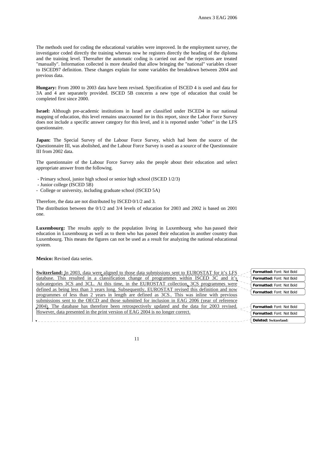The methods used for coding the educational variables were improved. In the employment survey, the investigator coded directly the training whereas now he registers directly the heading of the diploma and the training level. Thereafter the automatic coding is carried out and the rejections are treated "manually". Information collected is more detailed that allow bringing the "national" variables closer to ISCED97 definition. These changes explain for some variables the breakdown between 2004 and previous data.

**Hungary:** From 2000 to 2003 data have been revised. Specification of ISCED 4 is used and data for 3A and 4 are separately provided. ISCED 5B concerns a new type of education that could be completed first since 2000.

**Israel:** Although pre-academic institutions in Israel are classified under ISCED4 in our national mapping of education, this level remains unaccounted for in this report, since the Labor Force Survey does not include a specific answer category for this level, and it is reported under "other" in the LFS questionnaire.

**Japan:** The Special Survey of the Labour Force Survey, which had been the source of the Questionnaire III, was abolished, and the Labour Force Survey is used as a source of the Questionnaire III from 2002 data.

The questionnaire of the Labour Force Survey asks the people about their education and select appropriate answer from the following.

- Primary school, junior high school or senior high school (ISCED 1/2/3)
- Junior college (ISCED 5B)
- College or university, including graduate school (ISCED 5A)

Therefore, the data are not distributed by ISCED 0/1/2 and 3.

The distribution between the 0/1/2 and 3/4 levels of education for 2003 and 2002 is based on 2001 one.

**Luxembourg:** The results apply to the population living in Luxembourg who has passed their education in Luxembourg as well as to them who has passed their education in another country than Luxembourg. This means the figures can not be used as a result for analyzing the national educational system.

**Mexico:** Revised data series.

| Switzerland: In 2003, data were aligned to those data submissions sent to EUROSTAT for it's LFS | Formatted: Font: Not Bold |
|-------------------------------------------------------------------------------------------------|---------------------------|
| database. This resulted in a classification change of programmes within ISCED 3C and it's       | Formatted: Font: Not Bold |
| subcategories 3CS and 3CL. At this time, in the EUROSTAT collection, 3CS programmes were        | Formatted: Font: Not Bold |
| defined as being less than 3 years long. Subsequently, EUROSTAT revised this definition and now | Formatted: Font: Not Bold |
| programmes of less than 2 years in length are defined as 3CS. This was inline with previous     |                           |
| submissions sent to the OECD and those submitted for inclusion in EAG 2006 (year of reference   |                           |
| 2004). The database has therefore been retrospectively updated and the data for 2003 revised.   | Formatted: Font: Not Bold |
| However, data presented in the print version of EAG 2004 is no longer correct.                  | Formatted: Font: Not Bold |
|                                                                                                 | Deleted: Switzerland:     |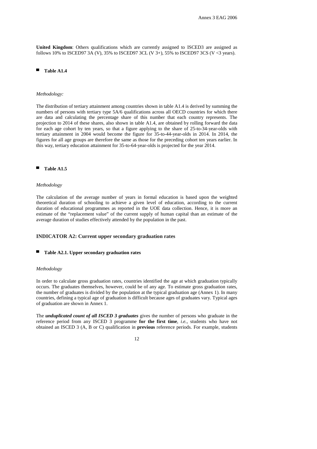**United Kingdom**: Others qualifications which are currently assigned to ISCED3 are assigned as follows 10% to ISCED97 3A (V), 35% to ISCED97 3CL (V  $3+$ ), 55% to ISCED97 3CS (V <3 years).

### **Table A1.4**

#### *Methodology:*

The distribution of tertiary attainment among countries shown in table A1.4 is derived by summing the numbers of persons with tertiary type 5A/6 qualifications across all OECD countries for which there are data and calculating the percentage share of this number that each country represents. The projection to 2014 of these shares, also shown in table A1.4, are obtained by rolling forward the data for each age cohort by ten years, so that a figure applying to the share of 25-to-34-year-olds with tertiary attainment in 2004 would become the figure for 35-to-44-year-olds in 2014. In 2014, the figures for all age groups are therefore the same as those for the preceding cohort ten years earlier. In this way, tertiary education attainment for 35-to-64-year-olds is projected for the year 2014.

#### **Table A1.5**

#### *Methodology*

The calculation of the average number of years in formal education is based upon the weighted theoretical duration of schooling to achieve a given level of education, according to the current duration of educational programmes as reported in the UOE data collection. Hence, it is more an estimate of the "replacement value" of the current supply of human capital than an estimate of the average duration of studies effectively attended by the population in the past.

### **INDICATOR A2: Current upper secondary graduation rates**

#### Table A2.1. Upper secondary graduation rates

#### *Methodology*

In order to calculate gross graduation rates, countries identified the age at which graduation typically occurs. The graduates themselves, however, could be of any age. To estimate gross graduation rates, the number of graduates is divided by the population at the typical graduation age (Annex 1). In many countries, defining a typical age of graduation is difficult because ages of graduates vary. Typical ages of graduation are shown in Annex 1.

The *unduplicated count of all ISCED 3 graduates* gives the number of persons who graduate in the reference period from any ISCED 3 programme **for the first time**, *i.e.*, students who have not obtained an ISCED 3 (A, B or C) qualification in **previous** reference periods. For example, students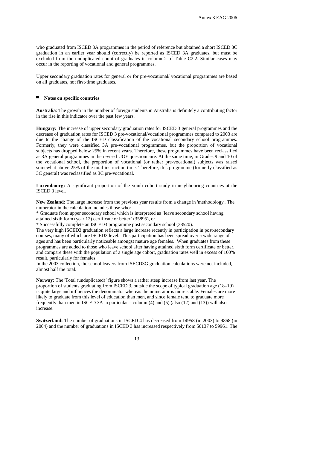who graduated from ISCED 3A programmes in the period of reference but obtained a short ISCED 3C graduation in an earlier year should (correctly) be reported as ISCED 3A graduates, but must be excluded from the unduplicated count of graduates in column 2 of Table C2.2. Similar cases may occur in the reporting of vocational and general programmes.

Upper secondary graduation rates for general or for pre-vocational/ vocational programmes are based on all graduates, not first-time graduates.

### ▀ **Notes on specific countries**

**Australia**: The growth in the number of foreign students in Australia is definitely a contributing factor in the rise in this indicator over the past few years.

**Hungary:** The increase of upper secondary graduation rates for ISCED 3 general programmes and the decrease of graduation rates for ISCED 3 pre-vocational/vocational programmes compared to 2003 are due to the change of the ISCED classification of the vocational secondary school programmes. Formerly, they were classified 3A pre-vocational programmes, but the proportion of vocational subjects has dropped below 25% in recent years. Therefore, these programmes have been reclassified as 3A general programmes in the revised UOE questionnaire. At the same time, in Grades 9 and 10 of the vocational school, the proportion of vocational (or rather pre-vocational) subjects was raised somewhat above 25% of the total instruction time. Therefore, this programme (formerly classified as 3C general) was reclassified as 3C pre-vocational.

**Luxembourg:** A significant proportion of the youth cohort study in neighbouring countries at the ISCED 3 level.

**New Zealand:** The large increase from the previous year results from a change in 'methodology'. The numerator in the calculation includes those who:

\* Graduate from upper secondary school which is interpreted as 'leave secondary school having attained sixth form (year 12) certificate or better' (35895), or

\* Successfully complete an ISCED3 programme post secondary school (38520).

The very high ISCED3 graduation reflects a large increase recently in participation in post-secondary courses, many of which are ISCED3 level. This participation has been spread over a wide range of ages and has been particularly noticeable amongst mature age females. When graduates from these programmes are added to those who leave school after having attained sixth form certificate or better, and compare these with the population of a single age cohort, graduation rates well in excess of 100% result, particularly for females.

In the 2003 collection, the school leavers from ISECD3G graduation calculations were not included, almost half the total.

**Norway:** The 'Total (unduplicated)' figure shows a rather steep increase from last year. The proportion of students graduating from ISCED 3, outside the scope of typical graduation age (18–19) is quite large and influences the denominator whereas the numerator is more stable. Females are more likely to graduate from this level of education than men, and since female tend to graduate more frequently than men in ISCED 3A in particular – column (4) and (5) (also (12) and (13)) will also increase.

**Switzerland:** The number of graduations in ISCED 4 has decreased from 14958 (in 2003) to 9868 (in 2004) and the number of graduations in ISCED 3 has increased respectively from 50137 to 59961. The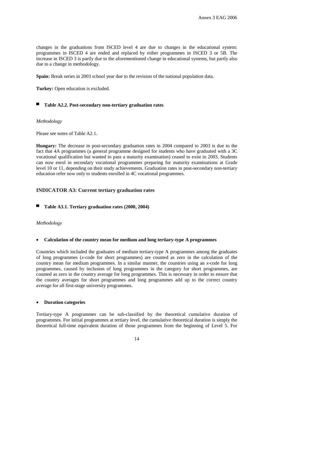changes in the graduations from ISCED level 4 are due to changes in the educational system: programmes in ISCED 4 are ended and replaced by either programmes in ISCED 3 or 5B. The increase in ISCED 3 is partly due to the aforementioned change in educational systems, but partly also due to a change in methodology.

**Spain:** Break series in 2003 school year due to the revision of the national population data.

**Turkey:** Open education is excluded.

#### ▀ **Table A2.2. Post-secondary non-tertiary graduation rates**

#### *Methodology*

Please see notes of Table A2.1.

**Hungary:** The decrease in post-secondary graduation rates in 2004 compared to 2003 is due to the fact that 4A programmes (a general programme designed for students who have graduated with a 3C vocational qualification but wanted to pass a maturity examination) ceased to exist in 2003. Students can now enrol in secondary vocational programmes preparing for maturity examinations at Grade level 10 or 11, depending on their study achievements. Graduation rates in post-secondary non-tertiary education refer now only to students enrolled in 4C vocational programmes.

### **INDICATOR A3: Current tertiary graduation rates**

### Table A3.1. Tertiary graduation rates (2000, 2004)

#### *Methodology*

#### • **Calculation of the country mean for medium and long tertiary-type A programmes**

Countries which included the graduates of medium tertiary-type A programmes among the graduates of long programmes (*x*-code for short programmes) are counted as zero in the calculation of the country mean for medium programmes. In a similar manner, the countries using an *x*-code for long programmes, caused by inclusion of long programmes in the category for short programmes, are counted as zero in the country average for long programmes. This is necessary in order to ensure that the country averages for short programmes and long programmes add up to the correct country average for all first-stage university programmes.

### • **Duration categories**

Tertiary-type A programmes can be sub-classified by the theoretical cumulative duration of programmes. For initial programmes at tertiary level, the cumulative theoretical duration is simply the theoretical full-time equivalent duration of those programmes from the beginning of Level 5. For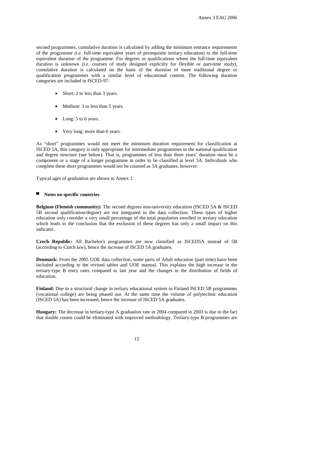second programmes, cumulative duration is calculated by adding the minimum entrance requirements of the programme *(i.e.* full-time equivalent years of prerequisite tertiary education) to the full-time equivalent duration of the programme. For degrees or qualifications where the full-time equivalent duration is unknown *(i.e.* courses of study designed explicitly for flexible or part-time study), cumulative duration is calculated on the basis of the duration of more traditional degree or qualification programmes with a similar level of educational content. The following duration categories are included in ISCED-97:

- Short: 2 to less than 3 years.
- Medium: 3 to less than 5 years.
- Long: 5 to 6 years.
- Very long: more than 6 years.

As "short" programmes would not meet the minimum duration requirement for classification at ISCED 5A, this category is only appropriate for intermediate programmes in the national qualification and degree structure (see below). That is, programmes of less than three years' duration must be a component or a stage of a longer programme in order to be classified at level 5A. Individuals who complete these short programmes would not be counted as 5A graduates, however.

Typical ages of graduation are shown in Annex 1.

#### ▀ **Notes on specific countries**

**Belgium (Flemish community):** The second degrees non-university education (ISCED 5A & ISCED) 5B second qualification/degree) are not integrated in the data collection. These types of higher education only consider a very small percentage of the total population enrolled in tertiary education which leads to the conclusion that the exclusion of these degrees has only a small impact on this indicator.

**Czech Republic:** All Bachelor's programmes are now classified as ISCED5A instead of 5B (according to Czech law), hence the increase of ISCED 5A graduates.

**Denmark:** From the 2005 UOE data collection, some parts of Adult education (part time) have been included according to the revised tables and UOE manual. This explains the high increase in the tertiary-type B entry rates compared to last year and the changes in the distribution of fields of education.

**Finland:** Due to a structural change in tertiary educational system in Finland ISCED 5B programmes (vocational college) are being phased out. At the same time the volume of polytechnic education (ISCED 5A) has been increased, hence the increase of ISCED 5A graduates.

**Hungary:** The decrease in tertiary-type A graduation rate in 2004 compared to 2003 is due to the fact that double counts could be eliminated with improved methodology. Tertiary-type B programmes are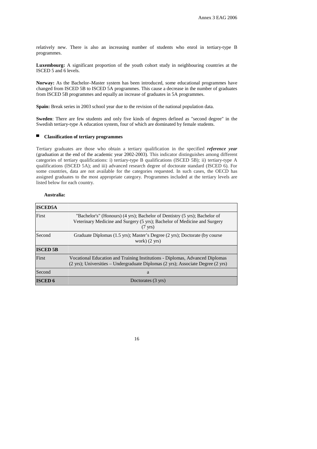relatively new. There is also an increasing number of students who enrol in tertiary-type B programmes.

**Luxembourg:** A significant proportion of the youth cohort study in neighbouring countries at the ISCED 5 and 6 levels.

**Norway:** As the Bachelor–Master system has been introduced, some educational programmes have changed from ISCED 5B to ISCED 5A programmes. This cause a decrease in the number of graduates from ISCED 5B programmes and equally an increase of graduates in 5A programmes.

**Spain:** Break series in 2003 school year due to the revision of the national population data.

**Sweden**: There are few students and only five kinds of degrees defined as "second degree" in the Swedish tertiary-type A education system, four of which are dominated by female students.

### ▀ **Classification of tertiary programmes**

Tertiary graduates are those who obtain a tertiary qualification in the specified *reference year*  (graduation at the end of the academic year 2002-2003). This indicator distinguishes among different categories of tertiary qualifications: i) tertiary-type B qualifications (ISCED 5B); ii) tertiary-type A qualifications (ISCED 5A); and iii) advanced research degree of doctorate standard (ISCED 6). For some countries, data are not available for the categories requested. In such cases, the OECD has assigned graduates to the most appropriate category. Programmes included at the tertiary levels are listed below for each country.

### **Australia:**

| <b>ISCED5A</b>  |                                                                                                                                                                              |
|-----------------|------------------------------------------------------------------------------------------------------------------------------------------------------------------------------|
| First           | "Bachelor's" (Honours) (4 yrs); Bachelor of Dentistry (5 yrs); Bachelor of<br>Veterinary Medicine and Surgery (5 yrs); Bachelor of Medicine and Surgery<br>$(7 \text{ yrs})$ |
| Second          | Graduate Diplomas (1.5 yrs); Master's Degree (2 yrs); Doctorate (by course<br>work) $(2 \text{ yrs})$                                                                        |
| <b>ISCED 5B</b> |                                                                                                                                                                              |
| First           | Vocational Education and Training Institutions - Diplomas, Advanced Diplomas<br>(2 yrs); Universities - Undergraduate Diplomas (2 yrs); Associate Degree (2 yrs)             |
| Second          | a                                                                                                                                                                            |
| <b>ISCED 6</b>  | Doctorates (3 yrs)                                                                                                                                                           |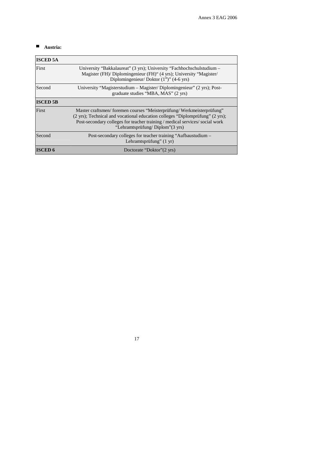# ▀ **Austria:**

| <b>ISCED 5A</b> |                                                                                                                                                                                                                                                                           |
|-----------------|---------------------------------------------------------------------------------------------------------------------------------------------------------------------------------------------------------------------------------------------------------------------------|
| First           | University "Bakkalaureat" (3 yrs); University "Fachhochschulstudium –<br>Magister (FH)/ Diplomingenieur (FH)" (4 yrs); University "Magister/<br>Diplomingenieur/ Doktor $(1st)$ " (4-6 yrs)                                                                               |
| Second          | University "Magisterstudium – Magister/Diplomingenieur" (2 yrs); Post-<br>graduate studies "MBA, MAS" (2 yrs)                                                                                                                                                             |
| <b>ISCED 5B</b> |                                                                                                                                                                                                                                                                           |
| First           | Master craftsmen/foremen courses "Meisterprüfung/Werkmeisterprüfung"<br>(2 yrs); Technical and vocational education colleges "Diplomprüfung" (2 yrs);<br>Post-secondary colleges for teacher training / medical services/ social work<br>"Lehramtsprüfung/Diplom" (3 yrs) |
| Second          | Post-secondary colleges for teacher training "Aufbaustudium –<br>Lehramtsprüfung" $(1 \text{ yr})$                                                                                                                                                                        |
| <b>ISCED 6</b>  | Doctorate "Doktor" (2 yrs)                                                                                                                                                                                                                                                |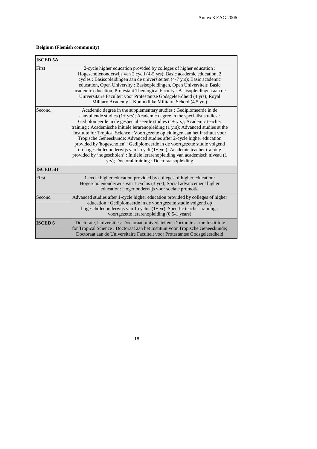### **Belgium (Flemish community)**

| <b>ISCED 5A</b> |                                                                                                                                                                                                                                                                                                                                                                                                                                                                                                                                                                                                                                                                                                                                                                                   |
|-----------------|-----------------------------------------------------------------------------------------------------------------------------------------------------------------------------------------------------------------------------------------------------------------------------------------------------------------------------------------------------------------------------------------------------------------------------------------------------------------------------------------------------------------------------------------------------------------------------------------------------------------------------------------------------------------------------------------------------------------------------------------------------------------------------------|
| First           | 2-cycle higher education provided by colleges of higher education :<br>Hogescholenonderwijs van 2 cycli (4-5 yrs); Basic academic education, 2<br>cycles : Basisopleidingen aan de universiteiten (4-7 yrs); Basic academic<br>education, Open University: Basisopleidingen, Open Universiteit; Basic<br>academic education, Protestant Theological Faculty: Basisopleidingen aan de<br>Universitaire Faculteit voor Protestantse Godsgeleerdheid (4 yrs); Royal<br>Military Academy: Koninklijke Militaire School (4.5 yrs)                                                                                                                                                                                                                                                      |
| Second          | Academic degree in the supplementary studies : Gediplomeerde in de<br>aanvullende studies $(1 + yrs)$ ; Academic degree in the specialist studies :<br>Gediplomeerde in de gespecialiseerde studies $(1 + yrs)$ ; Academic teacher<br>training: Academische initiële lerarenopleiding (1 yrs); Advanced studies at the<br>Institute for Tropical Science : Voortgezette opleidingen aan het Instituut voor<br>Tropische Geneeskunde; Advanced studies after 2-cycle higher education<br>provided by 'hogescholen' : Gediplomeerde in de voortgezette studie volgend<br>op hogescholenonderwijs van 2 cycli (1+ yrs); Academic teacher training<br>provided by 'hogescholen' : Initiële lerarenopleiding van academisch niveau (1<br>yrs); Doctoral training : Doctoraatsopleiding |
| <b>ISCED 5B</b> |                                                                                                                                                                                                                                                                                                                                                                                                                                                                                                                                                                                                                                                                                                                                                                                   |
| First           | 1-cycle higher education provided by colleges of higher education:<br>Hogescholenonderwijs van 1 cyclus (3 yrs); Social advancement higher<br>education: Hoger onderwijs voor sociale promotie                                                                                                                                                                                                                                                                                                                                                                                                                                                                                                                                                                                    |
| Second          | Advanced studies after 1-cycle higher education provided by colleges of higher<br>education : Gediplomeerde in de voortgezette studie volgend op<br>hogescholenonderwijs van 1 cyclus $(1 + yr)$ ; Specific teacher training :<br>voortgezette lerarenopleiding (0.5-1 years)                                                                                                                                                                                                                                                                                                                                                                                                                                                                                                     |
| <b>ISCED 6</b>  | Doctorate, Universities: Doctoraat, universiteiten; Doctorate at the Instititute<br>for Tropical Science : Doctoraat aan het Instituut voor Tropische Geneeskunde;<br>Doctoraat aan de Universitaire Faculteit voor Protestantse Godsgeleerdheid                                                                                                                                                                                                                                                                                                                                                                                                                                                                                                                                  |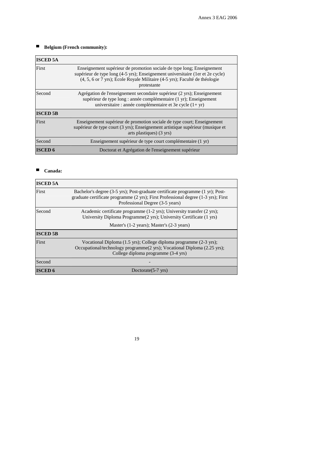# ▀ **Belgium (French community):**

| <b>ISCED 5A</b> |                                                                                                                                                                                                                                                       |
|-----------------|-------------------------------------------------------------------------------------------------------------------------------------------------------------------------------------------------------------------------------------------------------|
| First           | Enseignement supérieur de promotion sociale de type long; Enseignement<br>supérieur de type long (4-5 yrs); Enseignement universitaire (1er et 2e cycle)<br>(4, 5, 6 or 7 yrs); Ecole Royale Militaire (4-5 yrs); Faculté de théologie<br>protestante |
| Second          | Agrégation de l'enseignement secondaire supérieur (2 yrs); Enseignement<br>supérieur de type long : année complémentaire (1 yr); Enseignement<br>universitaire : année complémentaire et 3e cycle $(1 + yr)$                                          |
| <b>ISCED 5B</b> |                                                                                                                                                                                                                                                       |
| First           | Enseignement supérieur de promotion sociale de type court; Enseignement<br>supérieur de type court (3 yrs); Enseignement artistique supérieur (musique et<br>arts plastiques) (3 yrs)                                                                 |
| Second          | Enseignement supérieur de type court complémentaire (1 yr)                                                                                                                                                                                            |
| <b>ISCED 6</b>  | Doctorat et Agrégation de l'enseignement supérieur                                                                                                                                                                                                    |

### ■ **Canada**:

| <b>ISCED 5A</b> |                                                                                                                                                                                                         |
|-----------------|---------------------------------------------------------------------------------------------------------------------------------------------------------------------------------------------------------|
| First           | Bachelor's degree (3-5 yrs); Post-graduate certificate programme (1 yr); Post-<br>graduate certificate programme (2 yrs); First Professional degree (1-3 yrs); First<br>Professional Degree (3-5 years) |
| Second          | Academic certificate programme (1-2 yrs); University transfer (2 yrs);<br>University Diploma Programme(2 yrs); University Certificate (1 yrs)                                                           |
|                 | Master's (1-2 years); Master's (2-3 years)                                                                                                                                                              |
| <b>ISCED 5B</b> |                                                                                                                                                                                                         |
| First           | Vocational Diploma (1.5 yrs); College diploma programme (2-3 yrs);<br>Occupational/technology programme(2 yrs); Vocational Diploma (2.25 yrs);<br>College diploma programme (3-4 yrs)                   |
| Second          |                                                                                                                                                                                                         |
| <b>ISCED 6</b>  | Doctorate $(5-7 \text{ yrs})$                                                                                                                                                                           |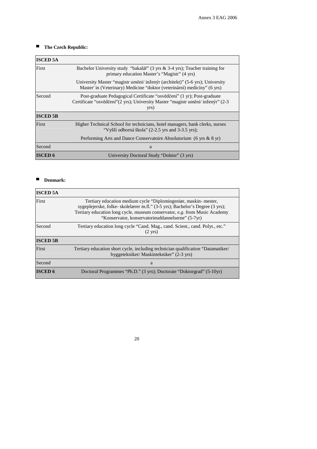# ■ The Czech Republic:

| <b>ISCED 5A</b> |                                                                                                                                                                    |
|-----------------|--------------------------------------------------------------------------------------------------------------------------------------------------------------------|
| First           | Bachelor University study "bakalář" (3 yrs & 3-4 yrs); Teacher training for<br>primary education Master's "Magistr" (4 yrs)                                        |
|                 | University Master "magistr uměni/ inženýr (architekt)" (5-6 yrs); University<br>Master' in (Veterinary) Medicine "doktor (veterinární) medicíny" (6 yrs)           |
| Second          | Post-graduate Pedagogical Certificate "osvědčení" (1 yr); Post-graduate<br>Certificate "osvědčení"(2 yrs); University Master "magistr uměni/ inženýr" (2-3<br>yrs) |
| <b>ISCED 5B</b> |                                                                                                                                                                    |
| First           | Higher Technical School for technicians, hotel managers, bank clerks, nurses<br>"Vyšší odborná škola" (2-2.5 yrs and 3-3.5 yrs);                                   |
|                 | Performing Arts and Dance Conservatoire Absolutorium (6 yrs & 8 yr)                                                                                                |
| Second          | a                                                                                                                                                                  |
| <b>ISCED 6</b>  | University Doctoral Study "Doktor" (3 yrs)                                                                                                                         |

### ■ **Denmark:**

| <b>ISCED 5A</b> |                                                                                                                                                                                                                                                                                    |
|-----------------|------------------------------------------------------------------------------------------------------------------------------------------------------------------------------------------------------------------------------------------------------------------------------------|
| First           | Tertiary education medium cycle "Diplomingeniør, maskin-mester,<br>sygeplejerske, folke-skolelærer m.fl." (3-5 yrs); Bachelor's Degree (3 yrs);<br>Tertiary education long cycle, museum conservator, e.g. from Music Academy<br>"Konservator, konservatorieuddannelserne" (5-7yr) |
| Second          | Tertiary education long cycle "Cand. Mag., cand. Scient., cand. Polyt., etc."<br>$(2 \text{ yrs})$                                                                                                                                                                                 |
| <b>ISCED 5B</b> |                                                                                                                                                                                                                                                                                    |
| First           | Tertiary education short cycle, including technician qualification "Datamatiker/<br>byggetekniker/Maskintekniker" (2-3 yrs)                                                                                                                                                        |
| Second          | a                                                                                                                                                                                                                                                                                  |
| <b>ISCED 6</b>  | Doctoral Programmes "Ph.D." (3 yrs); Doctorate "Doktorgrad" (5-10yr)                                                                                                                                                                                                               |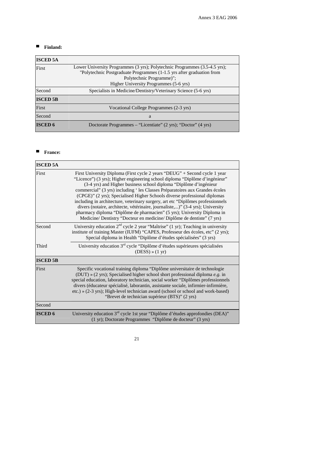### ■ **Finland:**

| <b>ISCED 5A</b> |                                                                            |
|-----------------|----------------------------------------------------------------------------|
| First           | Lower University Programmes (3 yrs); Polytechnic Programmes (3.5-4.5 yrs); |
|                 | "Polytechnic Postgraduate Programmes (1-1.5 yrs after graduation from      |
|                 | Polytechnic Programme)";                                                   |
|                 | Higher University Programmes (5-6 yrs)                                     |
| Second          | Specialists in Medicine/Dentistry/Veterinary Science (5-6 yrs)             |
| <b>ISCED 5B</b> |                                                                            |
| First           | Vocational College Programmes (2-3 yrs)                                    |
| Second          | a                                                                          |
| <b>ISCED 6</b>  | Doctorate Programmes – "Licentiate" (2 yrs); "Doctor" (4 yrs)              |

# ■ **France:**

| <b>ISCED 5A</b> |                                                                                                                                                                                                                                                                                                                                                                                                                                                                                                                                                                                                                                                                                                                      |
|-----------------|----------------------------------------------------------------------------------------------------------------------------------------------------------------------------------------------------------------------------------------------------------------------------------------------------------------------------------------------------------------------------------------------------------------------------------------------------------------------------------------------------------------------------------------------------------------------------------------------------------------------------------------------------------------------------------------------------------------------|
| First           | First University Diploma (First cycle 2 years "DEUG" + Second cycle 1 year<br>"Licence") (3 yrs); Higher engineering school diploma "Diplôme d'ingénieur"<br>(3-4 yrs) and Higher business school diploma "Diplôme d'ingénieur<br>commercial" (3 yrs) including 'les Classes Préparatoires aux Grandes écoles<br>(CPGE)" (2 yrs); Specialised Higher Schools diverse professional diplomas<br>including in architecture, veterinary surgery, art etc "Diplômes professionnels<br>divers (notaire, architecte, vétérinaire, journaliste,)" (3-4 yrs); University<br>pharmacy diploma "Diplôme de pharmacien" (5 yrs); University Diploma in<br>Medicine/ Dentistry "Docteur en medicine/ Diplôme de dentiste" (7 yrs) |
| Second          | University education $2nd$ cycle 2 year "Maîtrise" (1 yr); Teaching in university<br>institute of training Master (IUFM) "CAPES, Professeur des écoles, etc" (2 yrs);<br>Special diploma in Health "Diplôme d'études spécialisées" (3 yrs)                                                                                                                                                                                                                                                                                                                                                                                                                                                                           |
| Third           | University education 3 <sup>rd</sup> cycle "Diplôme d'études supérieures spécialisées<br>$(DESS) \times (1 \text{ yr})$                                                                                                                                                                                                                                                                                                                                                                                                                                                                                                                                                                                              |
| <b>ISCED 5B</b> |                                                                                                                                                                                                                                                                                                                                                                                                                                                                                                                                                                                                                                                                                                                      |
| First           | Specific vocational training diploma "Diplôme universitaire de technologie<br>(DUT) » (2 yrs); Specialised higher school short professional diploma e.g. in<br>special education, laboratory technician, social worker "Diplômes professionnels<br>divers (éducateur spécialisé, laborantin, assistante sociale, infirmier-infirmière,<br>etc.) » (2-3 yrs); High-level technician award (school or school and work-based)<br>"Brevet de technician supérieur (BTS)" (2 yrs)                                                                                                                                                                                                                                         |
| Second          |                                                                                                                                                                                                                                                                                                                                                                                                                                                                                                                                                                                                                                                                                                                      |
| <b>ISCED 6</b>  | University education $3rd$ cycle 1st year "Diplôme d'études approfondies (DEA)"<br>(1 yr); Doctorate Programmes "Diplôme de docteur" (3 yrs)                                                                                                                                                                                                                                                                                                                                                                                                                                                                                                                                                                         |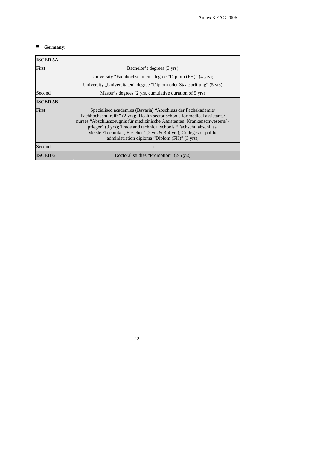# ■ **Germany:**

| <b>ISCED 5A</b> |                                                                                                                                                                                                                                                                                                                                                                                                                         |
|-----------------|-------------------------------------------------------------------------------------------------------------------------------------------------------------------------------------------------------------------------------------------------------------------------------------------------------------------------------------------------------------------------------------------------------------------------|
| First           | Bachelor's degrees (3 yrs)                                                                                                                                                                                                                                                                                                                                                                                              |
|                 | University "Fachhochschulen" degree "Diplom (FH)" (4 yrs);                                                                                                                                                                                                                                                                                                                                                              |
|                 | University "Universitäten" degree "Diplom oder Staatsprüfung" (5 yrs)                                                                                                                                                                                                                                                                                                                                                   |
| Second          | Master's degrees (2 yrs, cumulative duration of 5 yrs)                                                                                                                                                                                                                                                                                                                                                                  |
| <b>ISCED 5B</b> |                                                                                                                                                                                                                                                                                                                                                                                                                         |
| First           | Specialised academies (Bavaria) "Abschluss der Fachakademie/<br>Fachhochschulreife" (2 yrs); Health sector schools for medical assistants/<br>nurses "Abschlusszeugnis für medizinische Assistenten, Krankenschwestern/<br>pfleger" (3 yrs); Trade and technical schools "Fachschulabschluss,<br>Meister/Techniker, Erzieher" (2 yrs $\&$ 3-4 yrs); Colleges of public<br>administration diploma "Diplom (FH)" (3 yrs); |
| Second          | a                                                                                                                                                                                                                                                                                                                                                                                                                       |
| <b>ISCED 6</b>  | Doctoral studies "Promotion" (2-5 yrs)                                                                                                                                                                                                                                                                                                                                                                                  |

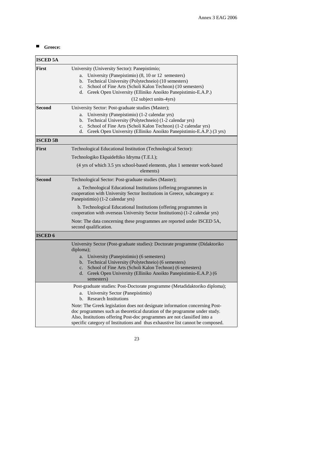# ■ Greece:

| <b>ISCED 5A</b> |                                                                                                                                                                                                                                                                                                                                                   |
|-----------------|---------------------------------------------------------------------------------------------------------------------------------------------------------------------------------------------------------------------------------------------------------------------------------------------------------------------------------------------------|
| First           | University (University Sector): Panepistimio;<br>University (Panepistimio) (8, 10 or 12 semesters)<br>a.<br>b. Technical University (Polytechneio) (10 semesters)<br>c. School of Fine Arts (Scholi Kalon Technon) (10 semesters)<br>Greek Open University (Elliniko Anoikto Panepistimio-E.A.P.)<br>d.<br>(12 subject units-4yrs)                |
| <b>Second</b>   | University Sector: Post-graduate studies (Master);<br>University (Panepistimio) (1-2 calendar yrs)<br>a.<br>Technical University (Polytechneio) (1-2 calendar yrs)<br>b.<br>School of Fine Arts (Scholi Kalon Technon) (1-2 calendar yrs)<br>c.<br>Greek Open University (Elliniko Anoikto Panepistimio-E.A.P.) (3 yrs)<br>d.                     |
| <b>ISCED 5B</b> |                                                                                                                                                                                                                                                                                                                                                   |
| First           | Technological Educational Institution (Technological Sector):                                                                                                                                                                                                                                                                                     |
|                 | Technologiko Ekpaideftiko Idryma (T.E.I.);                                                                                                                                                                                                                                                                                                        |
|                 | (4 yrs of which 3.5 yrs school-based elements, plus 1 semester work-based<br>elements)                                                                                                                                                                                                                                                            |
| <b>Second</b>   | Technological Sector: Post-graduate studies (Master);                                                                                                                                                                                                                                                                                             |
|                 | a. Technological Educational Institutions (offering programmes in<br>cooperation with University Sector Institutions in Greece, subcategory a:<br>Panepistimio) (1-2 calendar yrs)                                                                                                                                                                |
|                 | b. Technological Educational Institutions (offering programmes in<br>cooperation with overseas University Sector Institutions) (1-2 calendar yrs)                                                                                                                                                                                                 |
|                 | Note: The data concerning these programmes are reported under ISCED 5A,<br>second qualification.                                                                                                                                                                                                                                                  |
| <b>ISCED 6</b>  |                                                                                                                                                                                                                                                                                                                                                   |
|                 | University Sector (Post-graduate studies): Doctorate programme (Didaktoriko<br>diploma);<br>a. University (Panepistimio) (6 semesters)<br>b. Technical University (Polytechneio) (6 semesters)<br>c. School of Fine Arts (Scholi Kalon Technon) (6 semesters)<br>d. Greek Open University (Elliniko Anoikto Panepistimio-E.A.P.) (6<br>semesters) |
|                 | Post-graduate studies: Post-Doctorate programme (Metadidaktoriko diploma);                                                                                                                                                                                                                                                                        |
|                 | University Sector (Panepistimio)<br>a.<br>b. Research Institutions                                                                                                                                                                                                                                                                                |
|                 | Note: The Greek legislation does not designate information concerning Post-<br>doc programmes such as theoretical duration of the programme under study.<br>Also, Institutions offering Post-doc programmes are not classified into a<br>specific category of Institutions and thus exhaustive list cannot be composed.                           |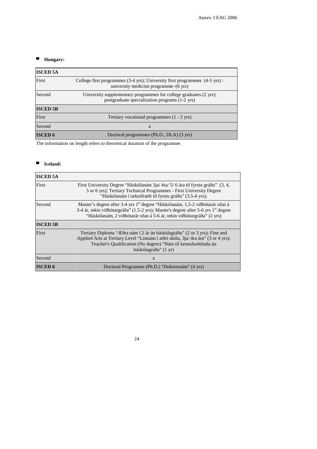### ■ **Hungary:**

| <b>ISCED 5A</b> |                                                                                                                                           |
|-----------------|-------------------------------------------------------------------------------------------------------------------------------------------|
| First           | College first programmes $(3-4 \text{ yrs})$ ; University first programmes $(4-5 \text{ yrs})$ :<br>university medicine programme–(6 yrs) |
| Second          | University supplementary programmes for college graduates (2 yrs);<br>postgraduate specialization programs (1-2 yrs)                      |
| <b>ISCED 5B</b> |                                                                                                                                           |
| First           | Tertiary vocational programmes (1 - 2 yrs)                                                                                                |
| Second          | a                                                                                                                                         |
| <b>ISCED 6</b>  | Doctoral programmes (Ph.D., DLA) (3 yrs)                                                                                                  |

The information on length refers to theoretical duration of the programme.

### ■ **Iceland:**

| <b>ISCED 5A</b> |                                                                                                                                                                                                                                                                      |
|-----------------|----------------------------------------------------------------------------------------------------------------------------------------------------------------------------------------------------------------------------------------------------------------------|
| First           | First University Degree "Háskólanám 3ja/4ra/5/6 ára til fyrstu gráðu" (3, 4,<br>5 or 6 yrs); Tertiary Technical Programmes - First University Degree<br>"Háskólanám í tæknifræði til fyrstu gráðu" (3.5-4 yrs);                                                      |
| Second          | Master's degree after 3-4 yrs 1 <sup>st</sup> degree "Háskólanám, 1,5-2 viðbótarár ofan á<br>3-4 ár, tekin viðbótargráða" (1.5-2 yrs); Master's degree after 5-6 yrs 1 <sup>st</sup> degree<br>"Háskólanám, 2 viðbótarár ofan á 5-6 ár, tekin viðbótargráða" (2 yrs) |
| <b>ISCED 5B</b> |                                                                                                                                                                                                                                                                      |
| First           | Tertiary Diploma "Æðra nám í 2 ár án háskólagráðu" (2 or 3 yrs); Fine and<br>Applied Arts at Tertiary Level "Listnám í æðri skóla, 3ja/4ra ára" (3 or 4 yrs);<br>Teacher's Qualification (No degree) "Nám til kennsluréttinda án<br>háskólagráðu" (1 yr)             |
| Second          | a                                                                                                                                                                                                                                                                    |
| <b>ISCED 6</b>  | Doctoral Programme (Ph.D.) "Doktorsnám" (4 yrs)                                                                                                                                                                                                                      |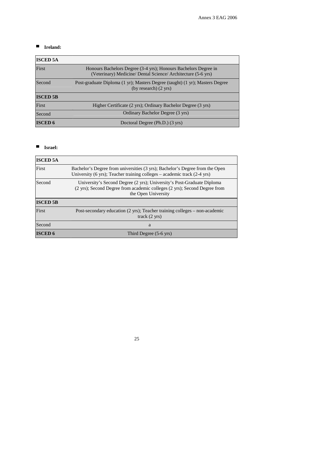### ■ **Ireland:**

| <b>ISCED 5A</b> |                                                                                                                                  |
|-----------------|----------------------------------------------------------------------------------------------------------------------------------|
| First           | Honours Bachelors Degree (3-4 yrs); Honours Bachelors Degree in<br>(Veterinary) Medicine/ Dental Science/ Architecture (5-6 yrs) |
| Second          | Post-graduate Diploma (1 yr); Masters Degree (taught) (1 yr); Masters Degree<br>$(by research)$ (2 yrs)                          |
| <b>ISCED 5B</b> |                                                                                                                                  |
| First           | Higher Certificate (2 yrs); Ordinary Bachelor Degree (3 yrs)                                                                     |
| Second          | Ordinary Bachelor Degree (3 yrs)                                                                                                 |
| <b>ISCED 6</b>  | Doctoral Degree (Ph.D.) (3 yrs)                                                                                                  |

### ■ **Israel:**

| <b>ISCED 5A</b> |                                                                                                                                                                            |
|-----------------|----------------------------------------------------------------------------------------------------------------------------------------------------------------------------|
| First           | Bachelor's Degree from universities (3 yrs); Bachelor's Degree from the Open<br>University (6 yrs); Teacher training colleges – academic track $(2-4$ yrs)                 |
| Second          | University's Second Degree (2 yrs); University's Post-Graduate Diploma<br>(2 yrs); Second Degree from academic colleges (2 yrs); Second Degree from<br>the Open University |
| <b>ISCED 5B</b> |                                                                                                                                                                            |
| First           | Post-secondary education (2 yrs); Teacher training colleges – non-academic<br>track(2 yrs)                                                                                 |
| Second          | a                                                                                                                                                                          |
| <b>ISCED 6</b>  | Third Degree (5-6 yrs)                                                                                                                                                     |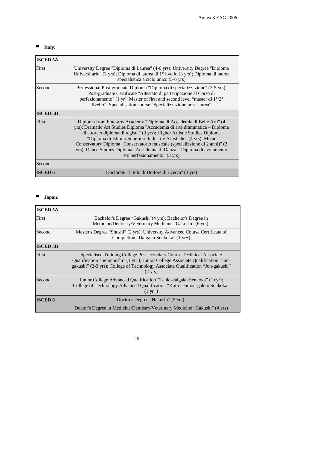# ▀ **Italy:**

| <b>ISCED 5A</b> |                                                                                                                                                                                                                                                                                                                                                                                                                                                                                                   |
|-----------------|---------------------------------------------------------------------------------------------------------------------------------------------------------------------------------------------------------------------------------------------------------------------------------------------------------------------------------------------------------------------------------------------------------------------------------------------------------------------------------------------------|
| First           | University Degree "Diploma di Laurea" (4-6 yrs); University Degree "Diploma"<br>Universitario" (3 yrs); Diploma di laurea di $1^{\circ}$ livello (3 yrs); Diploma di laurea<br>specialistica a ciclo unico (5-6 yrs)                                                                                                                                                                                                                                                                              |
| Second          | Professional Post-graduate Diploma "Diploma di specializzazione" (2-5 yrs);<br>Post-graduate Certificate "Attestato di partecipazione al Corso di<br>perfezionamento" (1 yr); Master of first and second level "master di $1^{\circ}/2^{\circ}$<br>livello"; Specialisation course "Specializzazione post-laurea"                                                                                                                                                                                 |
| <b>ISCED 5B</b> |                                                                                                                                                                                                                                                                                                                                                                                                                                                                                                   |
| First           | Diploma from Fine-arts Academy "Diploma di Accademia di Belle Arti" (4<br>yrs); Dramatic Art Studies Diploma "Accademia di arte drammatica - Diploma<br>di attore o diploma di regista" (3 yrs); Higher Artistic Studies Diploma<br>"Diploma di Istituto Superiore Industrie Artistiche" (4 yrs); Music<br>Conservatory Diploma "Conservatorio musicale (specializzione di 2 anni)" (2<br>yrs); Dance Studies Diploma "Accademia di Danza – Diploma di avviamento<br>e/o perfezionamento" (3 yrs) |
| Second          | a                                                                                                                                                                                                                                                                                                                                                                                                                                                                                                 |
| <b>ISCED 6</b>  | Doctorate "Titolo di Dottore di ricerca" (3 yrs)                                                                                                                                                                                                                                                                                                                                                                                                                                                  |

### ▀ **Japan:**

| <b>ISCED 5A</b> |                                                                                                                                                                                                                                                                  |
|-----------------|------------------------------------------------------------------------------------------------------------------------------------------------------------------------------------------------------------------------------------------------------------------|
| First           | Bachelor's Degree "Gakushi" (4 yrs); Bachelor's Degree in<br>Medicine/Dentistry/Veterinary Medicine "Gakushi" (6 yrs);                                                                                                                                           |
| Second          | Master's Degree "Shushi" (2 yrs); University Advanced Course Certificate of<br>Completion "Daigaku Senkoka" (1 yr+)                                                                                                                                              |
| <b>ISCED 5B</b> |                                                                                                                                                                                                                                                                  |
| First           | Specialised Training College Postsecondary Course Technical Associate<br>Qualification "Senmonshi" (1 yr+); Junior College Associate Qualification "Jun-<br>gakushi" (2-3 yrs); College of Technology Associate Qualification "Jun-gakushi"<br>$(2 \text{ yrs})$ |
| Second          | Junior College Advanced Qualification "Tanki-daigaku Senkoka" (1+yr);<br>College of Technology Advanced Qualification "Koto-senmon-gakko Senkoka"<br>$(1 \text{ yr}+)$                                                                                           |
| <b>ISCED 6</b>  | Doctor's Degree "Hakushi" (5 yrs);                                                                                                                                                                                                                               |
|                 | Doctor's Degree in Medicine/Dentistry/Veterinary Medicine "Hakushi" (4 yrs)                                                                                                                                                                                      |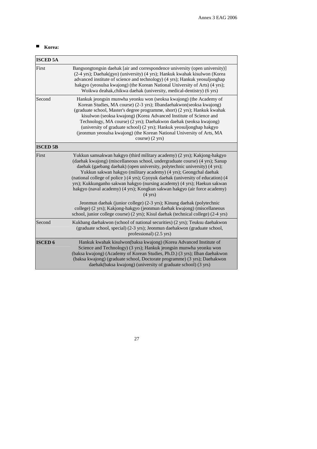# ■ **Korea:**

| <b>ISCED 5A</b> |                                                                                                                                                                                                                                                                                                                                                                                                                                                                                                                                                                                |
|-----------------|--------------------------------------------------------------------------------------------------------------------------------------------------------------------------------------------------------------------------------------------------------------------------------------------------------------------------------------------------------------------------------------------------------------------------------------------------------------------------------------------------------------------------------------------------------------------------------|
| First           | Bangsongtongsin daehak [air and correspondence university (open university)]<br>(2-4 yrs); Daehak(gyo) (university) (4 yrs); Hankuk kwahak kisulwon (Korea<br>advanced institute of science and technology) (4 yrs); Hankuk yeosuljonghap<br>hakgyo (yeosulsa kwajong) (the Korean National University of Arts) (4 yrs);<br>Woikwa deahak, chikwa daehak (university, medical-dentistry) (6 yrs)                                                                                                                                                                               |
| Second          | Hankuk jeongsin munwha yeonku won (seoksa kwajong) (the Academy of<br>Korean Studies, MA course) (2-3 yrs); Ilbandaehakwon(seoksa kwajong)<br>(graduate school, Master's degree programme, short) (2 yrs); Hankuk kwahak<br>kisulwon (seoksa kwajong) (Korea Advanced Institute of Science and<br>Technology, MA course) (2 yrs); Daehakwon daehak (seoksa kwajong)<br>(university of graduate school) (2 yrs); Hankuk yeosuljonghap hakgyo<br>(jeonmun yeosulsa kwajong) (the Korean National University of Arts, MA<br>course) (2 yrs)                                       |
| <b>ISCED 5B</b> |                                                                                                                                                                                                                                                                                                                                                                                                                                                                                                                                                                                |
| First           | Yukkun samsakwan hakgyo (third military academy) (2 yrs); Kakjong-hakgyo<br>(daehak kwajong) (miscellaneous school, undergraduate course) (4 yrs); Sanup<br>daehak (gaebang daehak) (open university, polytechnic university) (4 yrs);<br>Yukkun sakwan hakgyo (military academy) (4 yrs); Geongchal daehak<br>(national college of police ) (4 yrs); Gyoyuk daehak (university of education) (4<br>yrs); Kukkunganho sakwan hakgyo (nursing academy) (4 yrs); Haekun sakwan<br>hakgyo (naval academy) (4 yrs); Kongkun sakwan hakgyo (air force academy)<br>$(4 \text{ yrs})$ |
|                 | Jeonmun daehak (junior college) (2-3 yrs); Kinung daehak (polytechnic<br>college) (2 yrs); Kakjong-hakgyo (jeonmun daehak kwajong) (miscellaneous<br>school, junior college course) (2 yrs); Kisul daehak (technical college) (2-4 yrs)                                                                                                                                                                                                                                                                                                                                        |
| Second          | Kukbang daehakwon (school of national securities) (2 yrs); Teuksu daehakwon<br>(graduate school, special) (2-3 yrs); Jeonmun daehakwon (graduate school,<br>professional) $(2.5 \text{ yrs})$                                                                                                                                                                                                                                                                                                                                                                                  |
| <b>ISCED 6</b>  | Hankuk kwahak kisulwon(baksa kwajong) (Korea Advanced Institute of<br>Science and Technology) (3 yrs); Hankuk jeongsin munwha yeonku won<br>(baksa kwajong) (Academy of Korean Studies, Ph.D.) (3 yrs); Ilban daehakwon<br>(baksa kwajong) (graduate school, Doctorate programme) (3 yrs); Daehakwon<br>daehak(baksa kwajong) (university of graduate school) (3 yrs)                                                                                                                                                                                                          |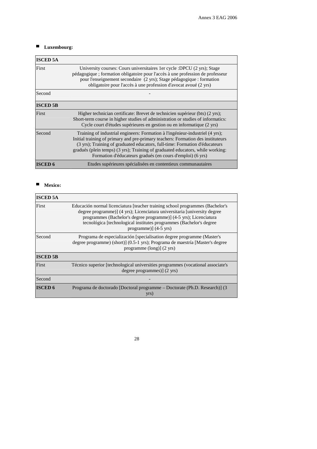### ■ Luxembourg:

| <b>ISCED 5A</b> |                                                                                                                                                                                                                                                                                                                                                                                                  |
|-----------------|--------------------------------------------------------------------------------------------------------------------------------------------------------------------------------------------------------------------------------------------------------------------------------------------------------------------------------------------------------------------------------------------------|
| First           | University courses: Cours universitaires 1 er cycle : DPCU (2 yrs); Stage<br>pédagogique ; formation obligatoire pour l'accès à une profession de professeur<br>pour l'enseignement secondaire (2 yrs); Stage pédagogique : formation<br>obligatoire pour l'accès à une profession d'avocat avoué (2 yrs)                                                                                        |
| Second          |                                                                                                                                                                                                                                                                                                                                                                                                  |
| <b>ISCED 5B</b> |                                                                                                                                                                                                                                                                                                                                                                                                  |
| First           | Higher technician certificate: Brevet de technicien supérieur (bts) (2 yrs);<br>Short-term course in higher studies of administration or studies of informatics:<br>Cycle court d'études supérieures en gestion ou en informatique (2 yrs)                                                                                                                                                       |
| Second          | Training of industrial engineers: Formation à l'ingénieur-industriel (4 yrs);<br>Initial training of primary and pre-primary teachers: Formation des instituteurs<br>(3 yrs); Training of graduated educators, full-time: Formation d'éducateurs<br>gradués (plein temps) (3 yrs); Training of graduated educators, while working:<br>Formation d'éducateurs gradués (en cours d'emploi) (6 yrs) |
| <b>ISCED 6</b>  | Etudes supérieures spécialisées en contentieux communautaires                                                                                                                                                                                                                                                                                                                                    |

### ■ **Mexico:**

| <b>ISCED 5A</b> |                                                                                                                                                                                                                                                                                                                                           |
|-----------------|-------------------------------------------------------------------------------------------------------------------------------------------------------------------------------------------------------------------------------------------------------------------------------------------------------------------------------------------|
| First           | Educación normal licenciatura [teacher training school programmes (Bachelor's<br>degree programme)] (4 yrs); Licenciatura universitaria [university degree<br>programmes (Bachelor's degree programme)] (4-5 yrs); Licenciatura<br>tecnológica [technological institutes programmes (Bachelor's degree<br>programme)] $(4-5 \text{ yrs})$ |
| Second          | Programa de especialización [specialisation degree programme (Master's<br>degree programme) (short)] (0.5-1 yrs); Programa de maestría [Master's degree<br>programme (long)] (2 yrs)                                                                                                                                                      |
| <b>ISCED 5B</b> |                                                                                                                                                                                                                                                                                                                                           |
| First           | Técnico superior [technological universities programmes (vocational associate's<br>degree programmes)] (2 yrs)                                                                                                                                                                                                                            |
| Second          |                                                                                                                                                                                                                                                                                                                                           |
| <b>ISCED 6</b>  | Programa de doctorado [Doctoral programme – Doctorate (Ph.D. Research)] (3<br>yrs)                                                                                                                                                                                                                                                        |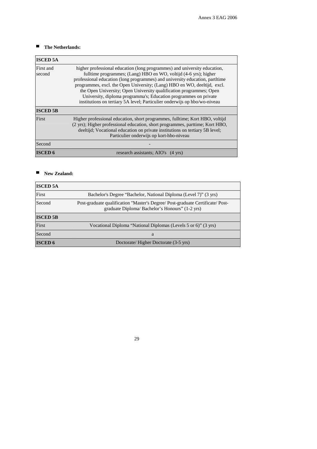### ■ The Netherlands:

| <b>ISCED 5A</b>     |                                                                                                                                                                                                                                                                                                                                                                                                                                                                                                                                   |
|---------------------|-----------------------------------------------------------------------------------------------------------------------------------------------------------------------------------------------------------------------------------------------------------------------------------------------------------------------------------------------------------------------------------------------------------------------------------------------------------------------------------------------------------------------------------|
| First and<br>second | higher professional education (long programmes) and university education,<br>fulltime programmes; (Lang) HBO en WO, voltijd (4-6 yrs); higher<br>professional education (long programmes) and university education, partltime<br>programmes, excl. the Open University; (Lang) HBO en WO, deeltijd, excl.<br>the Open University; Open University qualification programmes; Open<br>University, diploma programma's; Education programmes on private<br>institutions on tertiary 5A level; Particulier onderwijs op hbo/wo-niveau |
| <b>ISCED 5B</b>     |                                                                                                                                                                                                                                                                                                                                                                                                                                                                                                                                   |
| First               | Higher professional education, short programmes, fulltime; Kort HBO, voltijd<br>(2 yrs); Higher professional education, short programmes, parttime; Kort HBO,<br>deeltijd; Vocational education on private institutions on tertiary 5B level;<br>Particulier onderwijs op kort-hbo-niveau                                                                                                                                                                                                                                         |
| Second              |                                                                                                                                                                                                                                                                                                                                                                                                                                                                                                                                   |
| <b>ISCED 6</b>      | research assistants; AIO's (4 yrs)                                                                                                                                                                                                                                                                                                                                                                                                                                                                                                |

### ■ **New Zealand:**

| <b>ISCED 5A</b> |                                                                                                                                |
|-----------------|--------------------------------------------------------------------------------------------------------------------------------|
| First           | Bachelor's Degree "Bachelor, National Diploma (Level 7)" (3 yrs)                                                               |
| Second          | Post-graduate qualification "Master's Degree/Post-graduate Certificate/Post-<br>graduate Diploma/Bachelor's Honours" (1-2 yrs) |
| <b>ISCED 5B</b> |                                                                                                                                |
| First           | Vocational Diploma "National Diplomas (Levels 5 or 6)" (3 yrs)                                                                 |
| Second          | a                                                                                                                              |
| <b>ISCED 6</b>  | Doctorate/Higher Doctorate (3-5 yrs)                                                                                           |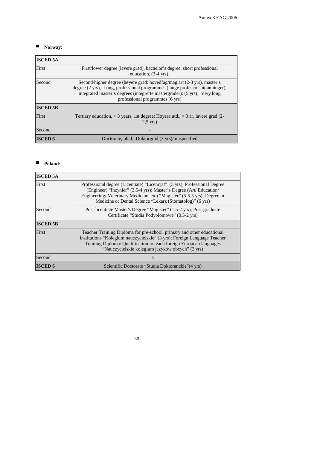### ■ **Norway:**

| <b>ISCED 5A</b> |                                                                                                                                                                                                                                                                         |
|-----------------|-------------------------------------------------------------------------------------------------------------------------------------------------------------------------------------------------------------------------------------------------------------------------|
| First           | First/lower degree (lavere grad), bachelor's degree, short professional<br>education, (3-4 yrs),                                                                                                                                                                        |
| Second          | Second/higher degree (høyere grad: hovedfag/mag.art (2-3 yrs), master's<br>degree (2 yrs), Long, professional programmes (lange profesjonsutdanninger),<br>integrated master's degrees (integrerte mastergrader): (5 yrs); Very long<br>professional programmes (6 yrs) |
| <b>ISCED 5B</b> |                                                                                                                                                                                                                                                                         |
| First           | Tertiary education, $\lt 3$ years, 1st degree: Høyere utd., $\lt 3$ år, lavere grad (2-<br>$2,5$ yrs)                                                                                                                                                                   |
| Second          |                                                                                                                                                                                                                                                                         |
| <b>ISCED 6</b>  | Doctorate, ph.d.: Doktorgrad (3 yrs)/ unspecified                                                                                                                                                                                                                       |

### ■ **Poland:**

| <b>ISCED 5A</b> |                                                                                                                                                                                                                                                                                         |
|-----------------|-----------------------------------------------------------------------------------------------------------------------------------------------------------------------------------------------------------------------------------------------------------------------------------------|
| First           | Professional degree (Licentiate) "Licenciat" (3 yrs); Professional Degree<br>(Engineer) "Inzynier" (3.5-4 yrs); Master's Degree (Art/ Education/<br>Engineering/Veterinary Medicine, etc) "Magister" (5-5.5 yrs); Degree in<br>Medicine or Dental Science "Lekarz (Stomatolog)" (6 yrs) |
| Second          | Post-licentiate Master's Degree "Magister" (1.5-2 yrs); Post-graduate<br>Certificate "Studia Podyplomowe" (0.5-2 yrs)                                                                                                                                                                   |
| <b>ISCED 5B</b> |                                                                                                                                                                                                                                                                                         |
| First           | Teacher Training Diploma for pre-school, primary and other educational<br>institutions "Kolegium nauczycielskie" (3 yrs); Foreign Language Teacher<br>Training Diploma/ Qualification to teach foreign European languages<br>"Nauczycielskie kolegium języków obcych" (3 yrs)           |
| Second          | a                                                                                                                                                                                                                                                                                       |
| <b>ISCED 6</b>  | Scientific Doctorate "Studia Doktoranckie" (4 yrs)                                                                                                                                                                                                                                      |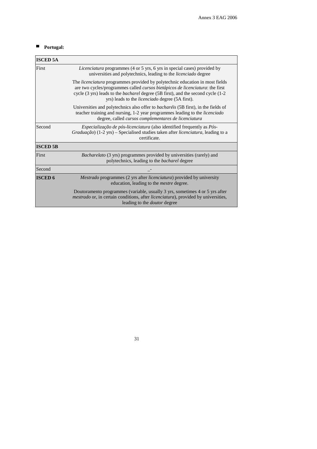### ■ **Portugal:**

| <b>ISCED 5A</b> |                                                                                                                                                                                                                                                                                                                           |
|-----------------|---------------------------------------------------------------------------------------------------------------------------------------------------------------------------------------------------------------------------------------------------------------------------------------------------------------------------|
| First           | Licenciatura programmes (4 or 5 yrs, 6 yrs in special cases) provided by<br>universities and polytechnics, leading to the <i>licenciado</i> degree                                                                                                                                                                        |
|                 | The <i>licenciatura</i> programmes provided by polytechnic education in most fields<br>are two cycles/programmes called cursos bietápicos de licenciatura: the first<br>cycle (3 yrs) leads to the <i>bacharel</i> degree (5B first), and the second cycle (1-2<br>yrs) leads to the <i>licenciado</i> degree (5A first). |
|                 | Universities and polytechnics also offer to bacharéis (5B first), in the fields of<br>teacher training and nursing, 1-2 year programmes leading to the licenciado<br>degree, called cursos complementares de licenciatura                                                                                                 |
| Second          | <i>Especialização de pós-licenciatura</i> (also identified frequently as <i>Pós-</i><br>Graduação) (1-2 yrs) - Specialised studies taken after licenciatura, leading to a<br>certificate.                                                                                                                                 |
| <b>ISCED 5B</b> |                                                                                                                                                                                                                                                                                                                           |
| First           | <i>Bacharelato</i> (3 yrs) programmes provided by universities (rarely) and<br>polytechnics, leading to the <i>bacharel</i> degree                                                                                                                                                                                        |
| Second          |                                                                                                                                                                                                                                                                                                                           |
| <b>ISCED 6</b>  | Mestrado programmes (2 yrs after licenciatura) provided by university<br>education, leading to the <i>mestre</i> degree.                                                                                                                                                                                                  |
|                 | Doutoramento programmes (variable, usually 3 yrs, sometimes 4 or 5 yrs after<br><i>mestrado</i> or, in certain conditions, after <i>licenciatura</i> ), provided by universities,<br>leading to the <i>doutor</i> degree                                                                                                  |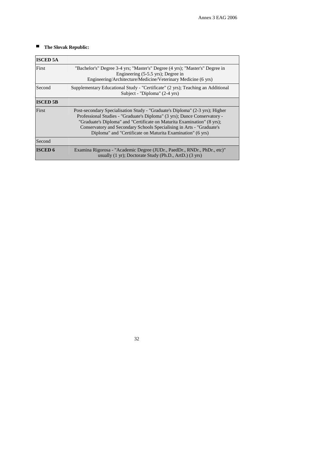### ■ The Slovak Republic:

| <b>ISCED 5A</b> |                                                                                                                                                                                                                                                                                                                                                                             |
|-----------------|-----------------------------------------------------------------------------------------------------------------------------------------------------------------------------------------------------------------------------------------------------------------------------------------------------------------------------------------------------------------------------|
| First           | "Bachelor's" Degree 3-4 yrs; "Master's" Degree (4 yrs); "Master's" Degree in<br>Engineering (5-5.5 yrs); Degree in<br>Engineering/Architecture/Medicine/Veterinary Medicine (6 yrs)                                                                                                                                                                                         |
| Second          | Supplementary Educational Study - "Certificate" (2 yrs); Teaching an Additional<br>Subject - "Diploma" (2-4 yrs)                                                                                                                                                                                                                                                            |
| <b>ISCED 5B</b> |                                                                                                                                                                                                                                                                                                                                                                             |
| First           | Post-secondary Specialisation Study - "Graduate's Diploma" (2-3 yrs); Higher<br>Professional Studies - "Graduate's Diploma" (3 yrs); Dance Conservatory -<br>"Graduate's Diploma" and "Certificate on Maturita Examination" (8 yrs);<br>Conservatory and Secondary Schools Specialising in Arts - "Graduate's<br>Diploma" and "Certificate on Maturita Examination" (6 yrs) |
| Second          |                                                                                                                                                                                                                                                                                                                                                                             |
| <b>ISCED 6</b>  | Examina Rigorosa - "Academic Degree (JUDr., PaedDr., RNDr., PhDr., etc)"<br>usually (1 yr); Doctorate Study (Ph.D., ArtD.) (3 yrs)                                                                                                                                                                                                                                          |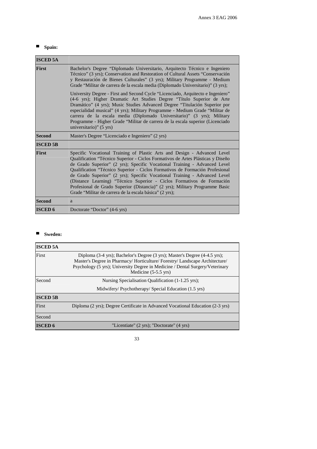### ■ Spain:

| <b>ISCED 5A</b> |                                                                                                                                                                                                                                                                                                                                                                                                                                                                                                                                                                                                                            |  |  |  |  |
|-----------------|----------------------------------------------------------------------------------------------------------------------------------------------------------------------------------------------------------------------------------------------------------------------------------------------------------------------------------------------------------------------------------------------------------------------------------------------------------------------------------------------------------------------------------------------------------------------------------------------------------------------------|--|--|--|--|
| <b>First</b>    | Bachelor's Degree "Diplomado Universitario, Arquitecto Técnico e Ingeniero"<br>Técnico" (3 yrs); Conservation and Restoration of Cultural Assets "Conservación<br>y Restauración de Bienes Culturales" (3 yrs); Military Programme - Medium<br>Grade "Militar de carrera de la escala media (Diplomado Universitario)" (3 yrs);                                                                                                                                                                                                                                                                                            |  |  |  |  |
|                 | University Degree - First and Second Cycle "Licenciado, Arquitecto e Ingeniero"<br>(4-6 yrs); Higher Dramatic Art Studies Degree "Título Superior de Arte<br>Dramático" (4 yrs); Music Studies Advanced Degree "Titulación Superior por<br>especialidad musical" (4 yrs); Military Programme - Medium Grade "Militar de<br>carrera de la escala media (Diplomado Universitario)" (3 yrs); Military<br>Programme - Higher Grade "Militar de carrera de la escala superior (Licenciado<br>universitario)" $(5 \text{ yrs})$                                                                                                  |  |  |  |  |
| <b>Second</b>   | Master's Degree "Licenciado e Ingeniero" (2 yrs)                                                                                                                                                                                                                                                                                                                                                                                                                                                                                                                                                                           |  |  |  |  |
| <b>ISCED 5B</b> |                                                                                                                                                                                                                                                                                                                                                                                                                                                                                                                                                                                                                            |  |  |  |  |
| <b>First</b>    | Specific Vocational Training of Plastic Arts and Design - Advanced Level<br>Qualification "Técnico Superior - Ciclos Formativos de Artes Plásticas y Diseño<br>de Grado Superior" (2 yrs); Specific Vocational Training - Advanced Level<br>Qualification "Técnico Superior - Ciclos Formativos de Formación Profesional<br>de Grado Superior" (2 yrs); Specific Vocational Training - Advanced Level<br>(Distance Learning) "Técnico Superior - Ciclos Formativos de Formación<br>Profesional de Grado Superior (Distancia)" (2 yrs); Military Programme Basic<br>Grade "Militar de carrera de la escala básica" (2 yrs); |  |  |  |  |
| <b>Second</b>   | a                                                                                                                                                                                                                                                                                                                                                                                                                                                                                                                                                                                                                          |  |  |  |  |
| <b>ISCED 6</b>  | Doctorate "Doctor" (4-6 yrs)                                                                                                                                                                                                                                                                                                                                                                                                                                                                                                                                                                                               |  |  |  |  |

# ■ Sweden:

| <b>ISCED 5A</b> |                                                                                                                                                                                                                                                                            |
|-----------------|----------------------------------------------------------------------------------------------------------------------------------------------------------------------------------------------------------------------------------------------------------------------------|
| First           | Diploma (3-4 yrs); Bachelor's Degree (3 yrs); Master's Degree (4-4.5 yrs);<br>Master's Degree in Pharmacy/Horticulture/Forestry/Landscape Architecture/<br>Psychology (5 yrs); University Degree in Medicine / Dental Surgery/Veterinary<br>Medicine $(5-5.5 \text{ yrs})$ |
| Second          | Nursing Specialisation Qualification (1-1.25 yrs);<br>Midwifery/Psychotherapy/Special Education (1.5 yrs)                                                                                                                                                                  |
| <b>ISCED 5B</b> |                                                                                                                                                                                                                                                                            |
| First           | Diploma (2 yrs); Degree Certificate in Advanced Vocational Education (2-3 yrs)                                                                                                                                                                                             |
| Second          |                                                                                                                                                                                                                                                                            |
| <b>ISCED 6</b>  | "Licentiate" (2 yrs); "Doctorate" (4 yrs)                                                                                                                                                                                                                                  |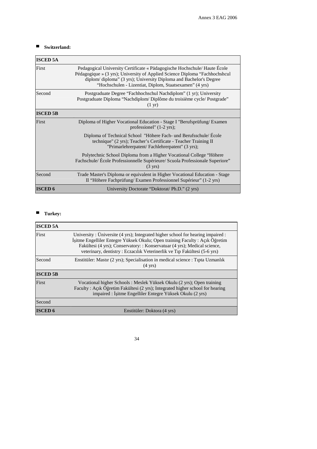# ■ **Switzerland:**

| <b>ISCED 5A</b> |                                                                                                                                                                                                                                                                                          |  |  |  |  |  |
|-----------------|------------------------------------------------------------------------------------------------------------------------------------------------------------------------------------------------------------------------------------------------------------------------------------------|--|--|--|--|--|
| First           | Pedagogical University Certificate « Pädagogische Hochschule/ Haute École<br>Pédagogique » (3 yrs); University of Applied Science Diploma "Fachhochshcul<br>diplom/diploma" (3 yrs); University Diploma and Bachelor's Degree<br>"Hochschulen - Lizentiat, Diplom, Staatsexamen" (4 yrs) |  |  |  |  |  |
| Second          | Postgraduate Degree "Fachhochschul Nachdiplom" (1 yr); University<br>Postgraduate Diploma "Nachdiplom/Diplôme du troisième cycle/Postgrade"<br>$(1 \text{ yr})$                                                                                                                          |  |  |  |  |  |
| <b>ISCED 5B</b> |                                                                                                                                                                                                                                                                                          |  |  |  |  |  |
| First           | Diploma of Higher Vocational Education - Stage I "Berufsprüfung/Examen"<br>professionel" $(1-2 \text{ yrs})$ ;                                                                                                                                                                           |  |  |  |  |  |
|                 | Diploma of Technical School "Höhere Fach- und Berufsschule/ Ecole<br>technique" (2 yrs); Teacher's Certificate - Teacher Training II<br>"Primarlehrerpatent/Fachlehrerpatent" (3 yrs);                                                                                                   |  |  |  |  |  |
|                 | Polytechnic School Diploma from a Higher Vocational College "Höhere"<br>Fachschule/École Professionnelle Supérieure/Scuola Professionale Superiore"<br>$(3 \text{ yrs})$                                                                                                                 |  |  |  |  |  |
| Second          | Trade Master's Diploma or equivalent in Higher Vocational Education - Stage<br>II "Höhere Fachprüfung/ Examen Professionnel Supérieur" (1-2 yrs)                                                                                                                                         |  |  |  |  |  |
| <b>ISCED 6</b>  | University Doctorate "Doktorat/ Ph.D." (2 yrs)                                                                                                                                                                                                                                           |  |  |  |  |  |

# ■ **Turkey:**

| <b>ISCED 5A</b> |                                                                                                                                                                                                                                                                                                                         |
|-----------------|-------------------------------------------------------------------------------------------------------------------------------------------------------------------------------------------------------------------------------------------------------------------------------------------------------------------------|
| First           | University: Universite (4 yrs); Integrated higher school for hearing impaired:<br>İşitme Engelliler Entegre Yüksek Okulu; Open training Faculty : Açık Öğretim<br>Fakültesi (4 yrs); Conservatory: : Konservatuar (4 yrs); Medical science,<br>veterinary, dentistry: Eczacılık Veterinerlik ve Tıp Fakültesi (5-6 yrs) |
| Second          | Enstitüler: Mastır (2 yrs); Specialisation in medical science : Tıpta Uzmanlık<br>$(4 \text{ yrs})$                                                                                                                                                                                                                     |
| <b>ISCED 5B</b> |                                                                                                                                                                                                                                                                                                                         |
| First           | Vocational higher Schools: Meslek Yüksek Okulu (2 yrs); Open training<br>Faculty: Açık Öğretim Fakültesi (2 yrs); Integrated higher school for hearing<br>impaired : İşitme Engelliler Entegre Yüksek Okulu (2 yrs)                                                                                                     |
| Second          |                                                                                                                                                                                                                                                                                                                         |
| <b>ISCED 6</b>  | Enstitüler: Doktora (4 yrs)                                                                                                                                                                                                                                                                                             |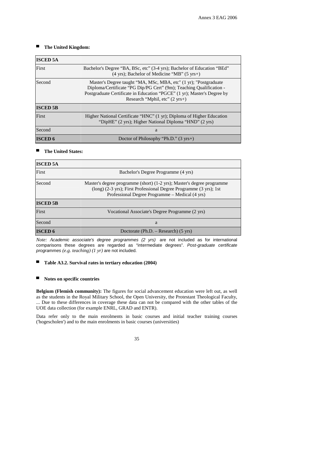### ■ The United Kingdom:

| <b>ISCED 5A</b> |                                                                                                                                                                                                                                                                |
|-----------------|----------------------------------------------------------------------------------------------------------------------------------------------------------------------------------------------------------------------------------------------------------------|
| First           | Bachelor's Degree "BA, BSc, etc" (3-4 yrs); Bachelor of Education "BEd"<br>$(4 \text{ yrs})$ ; Bachelor of Medicine "MB" $(5 \text{ yrs+})$                                                                                                                    |
| Second          | Master's Degree taught "MA, MSc, MBA, etc" (1 yr); "Postgraduate<br>Diploma/Certificate "PG Dip/PG Cert" (9m); Teaching Qualification -<br>Postgraduate Certificate in Education "PGCE" (1 yr); Master's Degree by<br>Research "Mphil, etc" $(2 \text{ yrs+})$ |
| <b>ISCED 5B</b> |                                                                                                                                                                                                                                                                |
| First           | Higher National Certificate "HNC" (1 yr); Diploma of Higher Education<br>"DipHE" (2 yrs); Higher National Diploma "HND" (2 yrs)                                                                                                                                |
| Second          | a                                                                                                                                                                                                                                                              |
| <b>ISCED 6</b>  | Doctor of Philosophy "Ph.D." $(3 \text{ yrs+})$                                                                                                                                                                                                                |

### ■ The United States:

| <b>ISCED 5A</b> |                                                                                                                                                                                                   |  |  |  |
|-----------------|---------------------------------------------------------------------------------------------------------------------------------------------------------------------------------------------------|--|--|--|
| First           | Bachelor's Degree Programme (4 yrs)                                                                                                                                                               |  |  |  |
| Second          | Master's degree programme (short) (1-2 yrs); Master's degree programme<br>$(long)$ (2-3 yrs); First Professional Degree Programme (3 yrs); 1st<br>Professional Degree Programme – Medical (4 yrs) |  |  |  |
| <b>ISCED 5B</b> |                                                                                                                                                                                                   |  |  |  |
| First           | Vocational Associate's Degree Programme (2 yrs)                                                                                                                                                   |  |  |  |
| Second          | a                                                                                                                                                                                                 |  |  |  |
| <b>ISCED 6</b>  | Doctorate (Ph.D. – Research) $(5 \text{ yrs})$                                                                                                                                                    |  |  |  |

*Note: Academic associate's degree programmes (2 yrs)* are not included as for international comparisons these degrees are regarded as "intermediate degrees". *Post-graduate certificate programmes (e.g. teaching) (1 yr)* are not included.

#### ■ **Table A3.2. Survival rates in tertiary education (2004)**

### ▀ **Notes on specific countries**

**Belgium (Flemish community):** The figures for social advancement education were left out, as well as the students in the Royal Military School, the Open University, the Protestant Theological Faculty, ... Due to these differences in coverage these data can not be compared with the other tables of the UOE data collection (for example ENRL, GRAD and ENTR).

Data refer only to the main enrolments in basic courses and initial teacher training courses ('hogescholen') and to the main enrolments in basic courses (universities)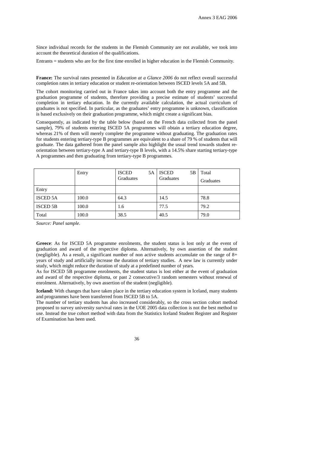Since individual records for the students in the Flemish Community are not available, we took into account the theoretical duration of the qualifications.

Entrants = students who are for the first time enrolled in higher education in the Flemish Community.

**France:** The survival rates presented in *Education at a Glance 2006* do not reflect overall successful completion rates in tertiary education or student re-orientation between ISCED levels 5A and 5B.

The cohort monitoring carried out in France takes into account both the entry programme and the graduation programme of students, therefore providing a precise estimate of students' successful completion in tertiary education. In the currently available calculation, the actual curriculum of graduates is not specified. In particular, as the graduates' entry programme is unknown, classification is based exclusively on their graduation programme, which might create a significant bias.

Consequently, as indicated by the table below (based on the French data collected from the panel sample), 79% of students entering ISCED 5A programmes will obtain a tertiary education degree, whereas 21% of them will merely complete the programme without graduating. The graduation rates for students entering tertiary-type B programmes are equivalent to a share of 79 % of students that will graduate. The data gathered from the panel sample also highlight the usual trend towards student reorientation between tertiary-type A and tertiary-type B levels, with a 14.5% share starting tertiary-type A programmes and then graduating from tertiary-type B programmes.

|                 | Entry | <b>ISCED</b><br>5A<br>Graduates | <b>ISCED</b><br>5В<br>Graduates | Total     |
|-----------------|-------|---------------------------------|---------------------------------|-----------|
|                 |       |                                 |                                 | Graduates |
| Entry           |       |                                 |                                 |           |
| <b>ISCED 5A</b> | 100.0 | 64.3                            | 14.5                            | 78.8      |
| <b>ISCED 5B</b> | 100.0 | 1.6                             | 77.5                            | 79.2      |
| Total           | 100.0 | 38.5                            | 40.5                            | 79.0      |

*Source: Panel sample.* 

**Greece**: As for ISCED 5A programme enrolments, the student status is lost only at the event of graduation and award of the respective diploma. Alternatively, by own assertion of the student (negligible). As a result, a significant number of non active students accumulate on the range of  $8+$ years of study and artificially increase the duration of tertiary studies. A new law is currently under study, which might reduce the duration of study at a predefined number of years.

As for ISCED 5B programme enrolments, the student status is lost either at the event of graduation and award of the respective diploma, or past 2 consecutive/3 random semesters without renewal of enrolment. Alternatively, by own assertion of the student (negligible).

**Iceland:** With changes that have taken place in the tertiary education system in Iceland, many students and programmes have been transferred from ISCED 5B to 5A.

The number of tertiary students has also increased considerably, so the cross section cohort method proposed to survey university survival rates in the UOE 2005 data collection is not the best method to use. Instead the true cohort method with data from the Statistics Iceland Student Register and Register of Examination has been used.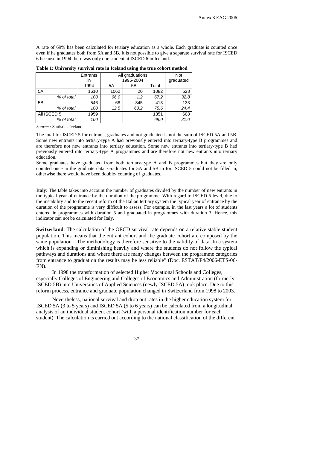A rate of 69% has been calculated for tertiary education as a whole. Each graduate is counted once even if he graduates both from 5A and 5B. It is not possible to give a separate survival rate for ISCED 6 because in 1994 there was only one student at ISCED 6 in Iceland.

|             | Entrants<br>in | All graduations<br>1995-2004 |      |      | Not<br>graduated |
|-------------|----------------|------------------------------|------|------|------------------|
|             | 1994           | Total<br>5A<br>5Β            |      |      |                  |
| 5A          | 1610           | 1082<br>1062<br>20           |      |      | 528              |
| % of total  | 100            | 67.2<br>1.2<br>66.0          |      |      | 32.8             |
| 5B          | 546            | 68                           | 345  | 413  | 133              |
| % of total  | 100            | 12.5                         | 63.2 | 75.6 | 24.4             |
| All ISCED 5 | 1959           |                              |      | 1351 | 608              |
| % of total  | 100            |                              |      | 69.0 | 31.0             |

**Table 1: University survival rate in Iceland using the true cohort method** 

*Source :* Statistics Iceland.

The total for ISCED 5 for entrants, graduates and not graduated is not the sum of ISCED 5A and 5B. Some new entrants into tertiary-type A had previously entered into tertiary-type B programmes and are therefore not new entrants into tertiary education. Some new entrants into tertiary-type B had previously entered into tertiary-type A programmes and are therefore not new entrants into tertiary education.

Some graduates have graduated from both tertiary-type A and B programmes but they are only counted once in the graduate data. Graduates for 5A and 5B in for ISCED 5 could not be filled in, otherwise there would have been double- counting of graduates.

**Italy**: The table takes into account the number of graduates divided by the number of new entrants in the typical year of entrance by the duration of the programme. With regard to ISCED 5 level, due to the instability and to the recent reform of the Italian tertiary system the typical year of entrance by the duration of the programme is very difficult to assess. For example, in the last years a lot of students entered in programmes with duration 5 and graduated in programmes with duration 3. Hence, this indicator can not be calculated for Italy.

**Switzerland**: The calculation of the OECD survival rate depends on a relative stable student population. This means that the entrant cohort and the graduate cohort are composed by the same population. "The methodology is therefore sensitive to the validity of data. In a system which is expanding or diminishing heavily and where the students do not follow the typical pathways and durations and where there are many changes between the programme categories from entrance to graduation the results may be less reliable" (Doc. ESTAT/F4/2006-ETS-06- EN).

In 1998 the transformation of selected Higher Vocational Schools and Colleges, especially Colleges of Engineering and Colleges of Economics and Administration (formerly ISCED 5B) into Universities of Applied Sciences (newly ISCED 5A) took place. Due to this reform process, entrance and graduate population changed in Switzerland from 1998 to 2003.

Nevertheless, national survival and drop out rates in the higher education system for ISCED 5A (3 to 5 years) and ISCED 5A (5 to 6 years) can be calculated from a longitudinal analysis of an individual student cohort (with a personal identification number for each student). The calculation is carried out according to the national classification of the different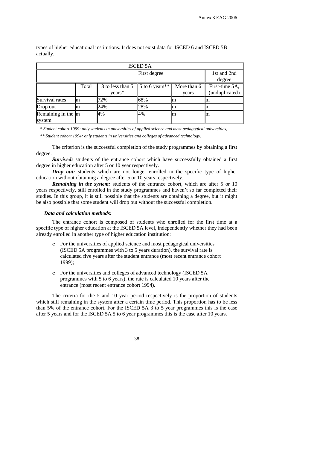| <b>ISCED 5A</b>                  |                                                                                 |     |     |     |    |  |  |
|----------------------------------|---------------------------------------------------------------------------------|-----|-----|-----|----|--|--|
|                                  | 1st and 2nd<br>degree                                                           |     |     |     |    |  |  |
|                                  | More than 6<br>3 to less than 5<br>5 to 6 years**<br>Total<br>$years*$<br>years |     |     |     |    |  |  |
| Survival rates                   | Im                                                                              | 72% | 68% | Im  | m  |  |  |
| Drop out                         | Im                                                                              | 24% | 28% | lm  | m  |  |  |
| Remaining in the $\ln$<br>system |                                                                                 | 4%  | 4%  | lm. | Im |  |  |

types of higher educational institutions. It does not exist data for ISCED 6 and ISCED 5B actually.

*\* Student cohort 1999: only students in universities of applied science and most pedagogical universities;* 

*\*\* Student cohort 1994: only students in universities and colleges of advanced technology.* 

The criterion is the successful completion of the study programmes by obtaining a first degree.

*Survived:* students of the entrance cohort which have successfully obtained a first degree in higher education after 5 or 10 year respectively.

*Drop out:* students which are not longer enrolled in the specific type of higher education without obtaining a degree after 5 or 10 years respectively.

*Remaining in the system:* students of the entrance cohort, which are after 5 or 10 years respectively, still enrolled in the study programmes and haven't so far completed their studies. In this group, it is still possible that the students are obtaining a degree, but it might be also possible that some student will drop out without the successful completion.

### *Data and calculation methods:*

The entrance cohort is composed of students who enrolled for the first time at a specific type of higher education at the ISCED 5A level, independently whether they had been already enrolled in another type of higher education institution:

- o For the universities of applied science and most pedagogical universities (ISCED 5A programmes with 3 to 5 years duration), the survival rate is calculated five years after the student entrance (most recent entrance cohort 1999);
- o For the universities and colleges of advanced technology (ISCED 5A programmes with 5 to 6 years), the rate is calculated 10 years after the entrance (most recent entrance cohort 1994).

The criteria for the 5 and 10 year period respectively is the proportion of students which still remaining in the system after a certain time period. This proportion has to be less than 5% of the entrance cohort. For the ISCED 5A 3 to 5 year programmes this is the case after 5 years and for the ISCED 5A 5 to 6 year programmes this is the case after 10 years.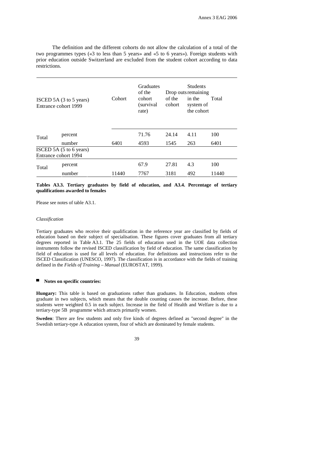The definition and the different cohorts do not allow the calculation of a total of the two programmes types («3 to less than 5 years» and «5 to 6 years»). Foreign students with prior education outside Switzerland are excluded from the student cohort according to data restrictions.

| ISCED 5A (3 to 5 years)<br>Entrance cohort 1999 |         | Cohort | Graduates<br>of the<br>cohort<br>(survival)<br>rate) | of the<br>cohort | <b>Students</b><br>Drop outs remaining<br>in the<br>system of<br>the cohort | Total |
|-------------------------------------------------|---------|--------|------------------------------------------------------|------------------|-----------------------------------------------------------------------------|-------|
| Total                                           | percent |        | 71.76                                                | 24.14            | 4.11                                                                        | 100   |
|                                                 | number  | 6401   | 4593                                                 | 1545             | 263                                                                         | 6401  |
| ISCED 5A (5 to 6 years)<br>Entrance cohort 1994 |         |        |                                                      |                  |                                                                             |       |
| Total                                           | percent |        | 67.9                                                 | 27.81            | 4.3                                                                         | 100   |
|                                                 | number  | 11440  | 7767                                                 | 3181             | 492                                                                         | 11440 |

### **Tables A3.3. Tertiary graduates by field of education, and A3.4. Percentage of tertiary qualifications awarded to females**

Please see notes of table A3.1.

### *Classification*

Tertiary graduates who receive their qualification in the reference year are classified by fields of education based on their subject of specialisation. These figures cover graduates from all tertiary degrees reported in Table A3.1. The 25 fields of education used in the UOE data collection instruments follow the revised ISCED classification by field of education. The same classification by field of education is used for all levels of education. For definitions and instructions refer to the ISCED Classification (UNESCO, 1997). The classification is in accordance with the fields of training defined in the *Fields of Training – Manual* (EUROSTAT, 1999).

#### Notes on specific countries:

**Hungary:** This table is based on graduations rather than graduates. In Education, students often graduate in two subjects, which means that the double counting causes the increase. Before, these students were weighted 0.5 in each subject. Increase in the field of Health and Welfare is due to a tertiary-type 5B programme which attracts primarily women.

**Sweden**: There are few students and only five kinds of degrees defined as "second degree" in the Swedish tertiary-type A education system, four of which are dominated by female students.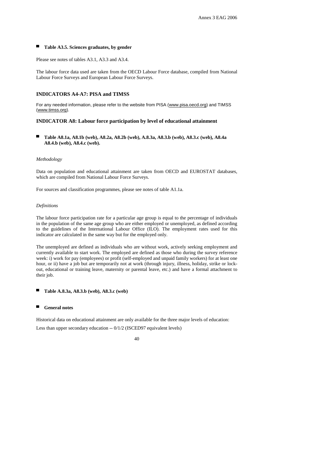### Table A3.5. Sciences graduates, by gender

Please see notes of tables A3.1, A3.3 and A3.4.

The labour force data used are taken from the OECD Labour Force database, compiled from National Labour Force Surveys and European Labour Force Surveys.

### **INDICATORS A4-A7: PISA and TIMSS**

For any needed information, please refer to the website from PISA (www.pisa.oecd.org) and TIMSS (www.timss.org).

### **INDICATOR A8: Labour force participation by level of educational attainment**

▀ **Table A8.1a, A8.1b (web), A8.2a, A8.2b (web), A.8.3a, A8.3.b (web), A8.3.c (web), A8.4a A8.4.b (web), A8.4.c (web).** 

### *Methodology*

Data on population and educational attainment are taken from OECD and EUROSTAT databases, which are compiled from National Labour Force Surveys.

For sources and classification programmes, please see notes of table A1.1a.

### *Definitions*

The labour force participation rate for a particular age group is equal to the percentage of individuals in the population of the same age group who are either employed or unemployed, as defined according to the guidelines of the International Labour Office (ILO). The employment rates used for this indicator are calculated in the same way but for the employed only.

The unemployed are defined as individuals who are without work, actively seeking employment and currently available to start work. The employed are defined as those who during the survey reference week: i) work for pay (employees) or profit (self-employed and unpaid family workers) for at least one hour, or ii) have a job but are temporarily not at work (through injury, illness, holiday, strike or lockout, educational or training leave, maternity or parental leave, etc.) and have a formal attachment to their job.

▀ **Table A.8.3a, A8.3.b (web), A8.3.c (web)** 

### General notes

Historical data on educational attainment are only available for the three major levels of education:

Less than upper secondary education -- 0/1/2 (ISCED97 equivalent levels)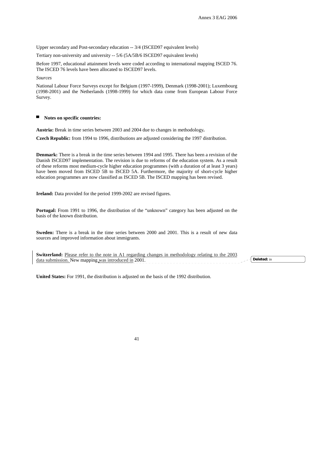Upper secondary and Post-secondary education -- 3/4 (ISCED97 equivalent levels)

Tertiary non-university and university -- 5/6 (5A/5B/6 ISCED97 equivalent levels)

Before 1997, educational attainment levels were coded according to international mapping ISCED 76. The ISCED 76 levels have been allocated to ISCED97 levels.

*Sources* 

National Labour Force Surveys except for Belgium (1997-1999), Denmark (1998-2001); Luxembourg (1998-2001) and the Netherlands (1998-1999) for which data come from European Labour Force Survey.

#### Notes on specific countries:

**Austria:** Break in time series between 2003 and 2004 due to changes in methodology**.** 

**Czech Republic:** from 1994 to 1996, distributions are adjusted considering the 1997 distribution.

**Denmark:** There is a break in the time series between 1994 and 1995. There has been a revision of the Danish ISCED97 implementation. The revision is due to reforms of the education system. As a result of these reforms most medium-cycle higher education programmes (with a duration of at least 3 years) have been moved from ISCED 5B to ISCED 5A. Furthermore, the majority of short-cycle higher education programmes are now classified as ISCED 5B. The ISCED mapping has been revised.

**Ireland:** Data provided for the period 1999-2002 are revised figures.

**Portugal:** From 1991 to 1996, the distribution of the "unknown" category has been adjusted on the basis of the known distribution.

**Sweden:** There is a break in the time series between 2000 and 2001. This is a result of new data sources and improved information about immigrants.

| Switzerl<br><b>1.</b> Please refer to the note in A1 regarding changes in methodology relating $\cdot$<br>$200^{\circ}$ |  |
|-------------------------------------------------------------------------------------------------------------------------|--|
| New manning was introduced in 2001.<br>data submission.                                                                 |  |
|                                                                                                                         |  |

**United States:** For 1991, the distribution is adjusted on the basis of the 1992 distribution.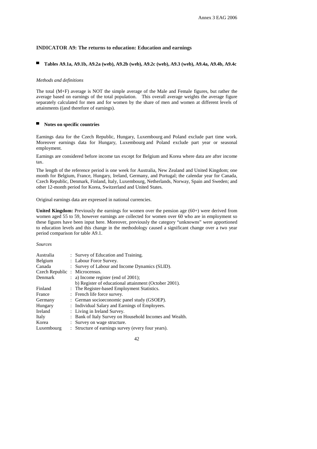### **INDICATOR A9: The returns to education: Education and earnings**

### ▀ **Tables A9.1a, A9.1b, A9.2a (web), A9.2b (web), A9.2c (web), A9.3 (web), A9.4a, A9.4b, A9.4c**

#### *Methods and definitions*

The total (M+F) average is NOT the simple average of the Male and Female figures, but rather the average based on earnings of the total population. This overall average weights the average figure separately calculated for men and for women by the share of men and women at different levels of attainments ((and therefore of earnings).

#### ▀ **Notes on specific countries**

Earnings data for the Czech Republic, Hungary, Luxembourg and Poland exclude part time work. Moreover earnings data for Hungary, Luxembourg and Poland exclude part year or seasonal employment.

Earnings are considered before income tax except for Belgium and Korea where data are after income tax.

The length of the reference period is one week for Australia, New Zealand and United Kingdom; one month for Belgium, France, Hungary, Ireland, Germany, and Portugal; the calendar year for Canada, Czech Republic, Denmark, Finland, Italy, Luxembourg, Netherlands, Norway, Spain and Sweden; and other 12-month period for Korea, Switzerland and United States.

Original earnings data are expressed in national currencies.

**United Kingdom:** Previously the earnings for women over the pension age (60+) were derived from women aged 55 to 59, however earnings are collected for women over 60 who are in employment so these figures have been input here. Moreover, previously the category "unknowns" were apportioned to education levels and this change in the methodology caused a significant change over a two year period comparison for table A9.1.

### *Sources*

| Australia                     | : Survey of Education and Training.                     |
|-------------------------------|---------------------------------------------------------|
| Belgium                       | : Labour Force Survey.                                  |
| Canada                        | : Survey of Labour and Income Dynamics (SLID).          |
| Czech Republic : Microcensus. |                                                         |
| Denmark                       | $: a)$ Income register (end of 2001);                   |
|                               | b) Register of educational attainment (October 2001).   |
| Finland                       | : The Register-based Employment Statistics.             |
| France                        | : French life force survey.                             |
| Germany                       | : German socioeconomic panel study (GSOEP).             |
| Hungary                       | : Individual Salary and Earnings of Employees.          |
| Ireland                       | : Living in Ireland Survey.                             |
| Italy                         | : Bank of Italy Survey on Household Incomes and Wealth. |
| Korea                         | : Survey on wage structure.                             |
| Luxembourg                    | : Structure of earnings survey (every four years).      |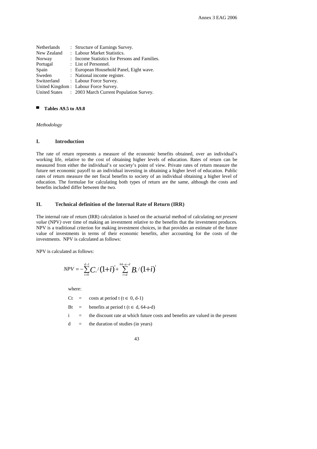|                      | : Structure of Earnings Survey.               |
|----------------------|-----------------------------------------------|
|                      | : Labour Market Statistics.                   |
|                      | : Income Statistics for Persons and Families. |
|                      | : List of Personnel.                          |
|                      | : European Household Panel, Eight wave.       |
|                      | : National income register.                   |
|                      | : Labour Force Survey.                        |
|                      | United Kingdom: Labour Force Survey.          |
| <b>United States</b> | : 2003 March Current Population Survey.       |
|                      |                                               |

### ■ **Tables A9.5 to A9.8**

*Methodology* 

### **I. Introduction**

The rate of return represents a measure of the economic benefits obtained, over an individual's working life, relative to the cost of obtaining higher levels of education. Rates of return can be measured from either the individual's or society's point of view. Private rates of return measure the future net economic payoff to an individual investing in obtaining a higher level of education. Public rates of return measure the net fiscal benefits to society of an individual obtaining a higher level of education. The formulae for calculating both types of return are the same, although the costs and benefits included differ between the two.

### **II. Technical definition of the Internal Rate of Return (IRR)**

The internal rate of return (IRR) calculation is based on the actuarial method of calculating *net present value* (NPV*)* over time of making an investment relative to the benefits that the investment produces*.*  NPV is a traditional criterion for making investment choices, in that provides an estimate of the future value of investments in terms of their economic benefits, after accounting for the costs of the investments. NPV is calculated as follows:

NPV is calculated as follows:

$$
NPV = -\sum_{t=0}^{d-1} C_t / (1+i)^t + \sum_{t=d}^{64-a-d} B_t / (1+i)^t
$$

where:

Ct = costs at period t ( $t \in 0$ , d-1)

Bt = benefits at period t ( $t \in d$ , 64-a-d)

 $i =$  the discount rate at which future costs and benefits are valued in the present

 $d =$  the duration of studies (in years)

$$
43 \\
$$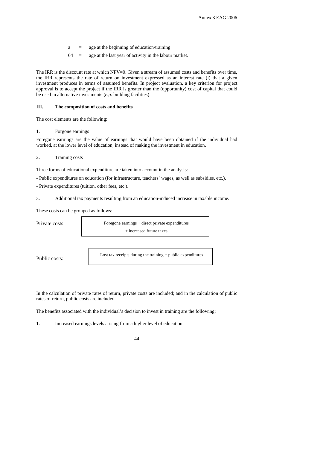- $a = a$ ge at the beginning of education/training
- 64 = age at the last year of activity in the labour market.

The IRR is the discount rate at which NPV=0. Given a stream of assumed costs and benefits over time, the IRR represents the rate of return on investment expressed as an interest rate (i) that a given investment produces in terms of assumed benefits. In project evaluation, a key criterion for project approval is to accept the project if the IRR is greater than the (opportunity) cost of capital that could be used in alternative investments (*e.g.* building facilities).

### **III. The composition of costs and benefits**

The cost elements are the following:

1. Forgone earnings

Foregone earnings are the value of earnings that would have been obtained if the individual had worked, at the lower level of education, instead of making the investment in education.

2. Training costs

Three forms of educational expenditure are taken into account in the analysis:

- Public expenditures on education (for infrastructure, teachers' wages, as well as subsidies, etc.).
- Private expenditures (tuition, other fees, etc.).
- 3. Additional tax payments resulting from an education-induced increase in taxable income.

These costs can be grouped as follows:

Private costs:

Foregone earnings + direct private expenditures + increased future taxes

Public costs:

Lost tax receipts during the training + public expenditures

In the calculation of private rates of return, private costs are included; and in the calculation of public rates of return, public costs are included.

The benefits associated with the individual's decision to invest in training are the following:

1. Increased earnings levels arising from a higher level of education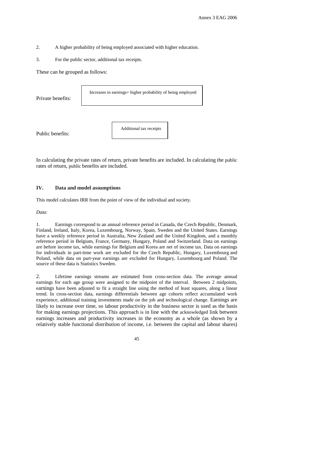- 2. A higher probability of being employed associated with higher education.
- 3. For the public sector, additional tax receipts.

These can be grouped as follows:

| Private benefits: | Increases in earnings+ higher probability of being employed |  |  |
|-------------------|-------------------------------------------------------------|--|--|
| Public benefits:  | Additional tax receipts                                     |  |  |

In calculating the private rates of return, private benefits are included. In calculating the public rates of return, public benefits are included.

### **IV. Data and model assumptions**

This model calculates IRR from the point of view of the individual and society.

*Data:* 

1. Earnings correspond to an annual reference period in Canada, the Czech Republic, Denmark, Finland, Ireland, Italy, Korea, Luxembourg, Norway, Spain, Sweden and the United States. Earnings have a weekly reference period in Australia, New Zealand and the United Kingdom, and a monthly reference period in Belgium, France, Germany, Hungary, Poland and Switzerland. Data on earnings are before income tax, while earnings for Belgium and Korea are net of income tax. Data on earnings for individuals in part-time work are excluded for the Czech Republic, Hungary, Luxembourg and Poland, while data on part-year earnings are excluded for Hungary, Luxembourg and Poland. The source of these data is Statistics Sweden.

2. Lifetime earnings streams are estimated from cross-section data. The average annual earnings for each age group were assigned to the midpoint of the interval. Between 2 midpoints, earnings have been adjusted to fit a straight line using the method of least squares, along a linear trend. In cross-section data, earnings differentials between age cohorts reflect accumulated work experience, additional training investments made on the job and technological change. Earnings are likely to increase over time, so labour productivity in the business sector is used as the basis for making earnings projections. This approach is in line with the acknowledged link between earnings increases and productivity increases in the economy as a whole (as shown by a relatively stable functional distribution of income, i.e. between the capital and labour shares)